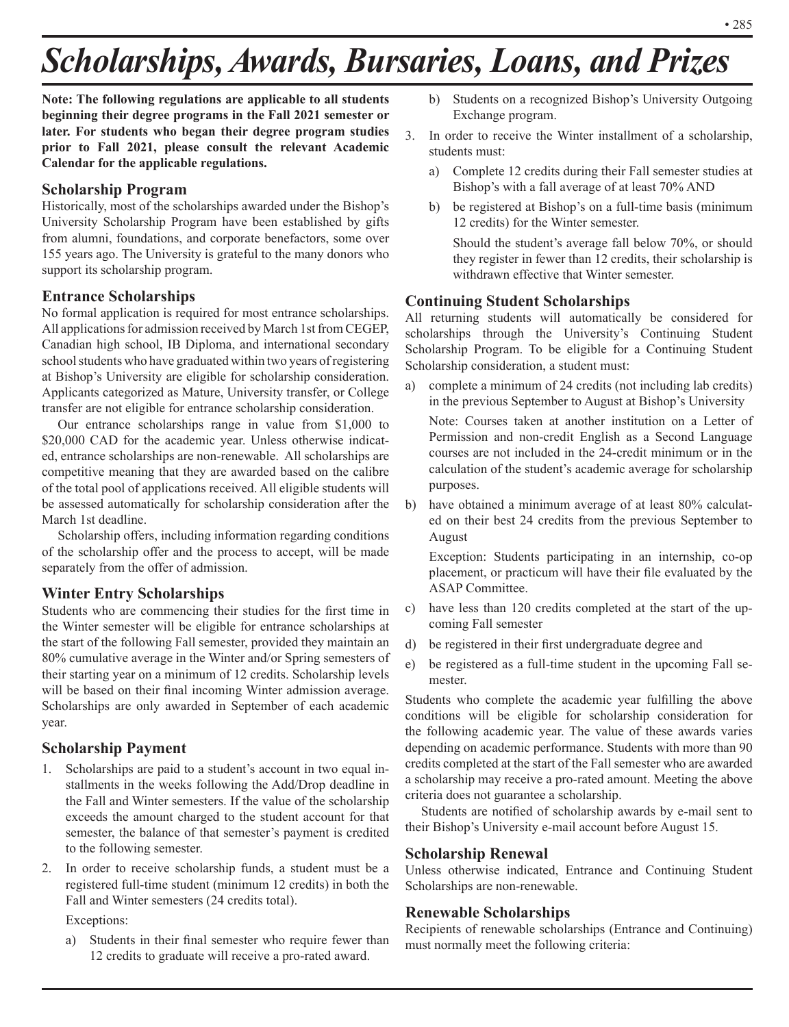# *Scholarships, Awards, Bursaries, Loans, and Prizes*

**Note: The following regulations are applicable to all students beginning their degree programs in the Fall 2021 semester or later. For students who began their degree program studies prior to Fall 2021, please consult the relevant Academic Calendar for the applicable regulations.**

### **Scholarship Program**

Historically, most of the scholarships awarded under the Bishop's University Scholarship Program have been established by gifts from alumni, foundations, and corporate benefactors, some over 155 years ago. The University is grateful to the many donors who support its scholarship program.

### **Entrance Scholarships**

No formal application is required for most entrance scholarships. All applications for admission received by March 1st from CEGEP, Canadian high school, IB Diploma, and international secondary school students who have graduated within two years of registering at Bishop's University are eligible for scholarship consideration. Applicants categorized as Mature, University transfer, or College transfer are not eligible for entrance scholarship consideration.

Our entrance scholarships range in value from \$1,000 to \$20,000 CAD for the academic year. Unless otherwise indicated, entrance scholarships are non-renewable. All scholarships are competitive meaning that they are awarded based on the calibre of the total pool of applications received. All eligible students will be assessed automatically for scholarship consideration after the March 1st deadline.

Scholarship offers, including information regarding conditions of the scholarship offer and the process to accept, will be made separately from the offer of admission.

### **Winter Entry Scholarships**

Students who are commencing their studies for the first time in the Winter semester will be eligible for entrance scholarships at the start of the following Fall semester, provided they maintain an 80% cumulative average in the Winter and/or Spring semesters of their starting year on a minimum of 12 credits. Scholarship levels will be based on their final incoming Winter admission average. Scholarships are only awarded in September of each academic year.

### **Scholarship Payment**

- 1. Scholarships are paid to a student's account in two equal installments in the weeks following the Add/Drop deadline in the Fall and Winter semesters. If the value of the scholarship exceeds the amount charged to the student account for that semester, the balance of that semester's payment is credited to the following semester.
- 2. In order to receive scholarship funds, a student must be a registered full-time student (minimum 12 credits) in both the Fall and Winter semesters (24 credits total).

Exceptions:

a) Students in their final semester who require fewer than 12 credits to graduate will receive a pro-rated award.

- b) Students on a recognized Bishop's University Outgoing Exchange program.
- 3. In order to receive the Winter installment of a scholarship, students must:
	- a) Complete 12 credits during their Fall semester studies at Bishop's with a fall average of at least 70% AND
	- b) be registered at Bishop's on a full-time basis (minimum 12 credits) for the Winter semester.

Should the student's average fall below 70%, or should they register in fewer than 12 credits, their scholarship is withdrawn effective that Winter semester.

### **Continuing Student Scholarships**

All returning students will automatically be considered for scholarships through the University's Continuing Student Scholarship Program. To be eligible for a Continuing Student Scholarship consideration, a student must:

a) complete a minimum of 24 credits (not including lab credits) in the previous September to August at Bishop's University

Note: Courses taken at another institution on a Letter of Permission and non-credit English as a Second Language courses are not included in the 24-credit minimum or in the calculation of the student's academic average for scholarship purposes.

b) have obtained a minimum average of at least 80% calculated on their best 24 credits from the previous September to August

Exception: Students participating in an internship, co-op placement, or practicum will have their file evaluated by the ASAP Committee.

- c) have less than 120 credits completed at the start of the upcoming Fall semester
- d) be registered in their first undergraduate degree and
- e) be registered as a full-time student in the upcoming Fall semester.

Students who complete the academic year fulfilling the above conditions will be eligible for scholarship consideration for the following academic year. The value of these awards varies depending on academic performance. Students with more than 90 credits completed at the start of the Fall semester who are awarded a scholarship may receive a pro-rated amount. Meeting the above criteria does not guarantee a scholarship.

Students are notified of scholarship awards by e-mail sent to their Bishop's University e-mail account before August 15.

### **Scholarship Renewal**

Unless otherwise indicated, Entrance and Continuing Student Scholarships are non-renewable.

### **Renewable Scholarships**

Recipients of renewable scholarships (Entrance and Continuing) must normally meet the following criteria: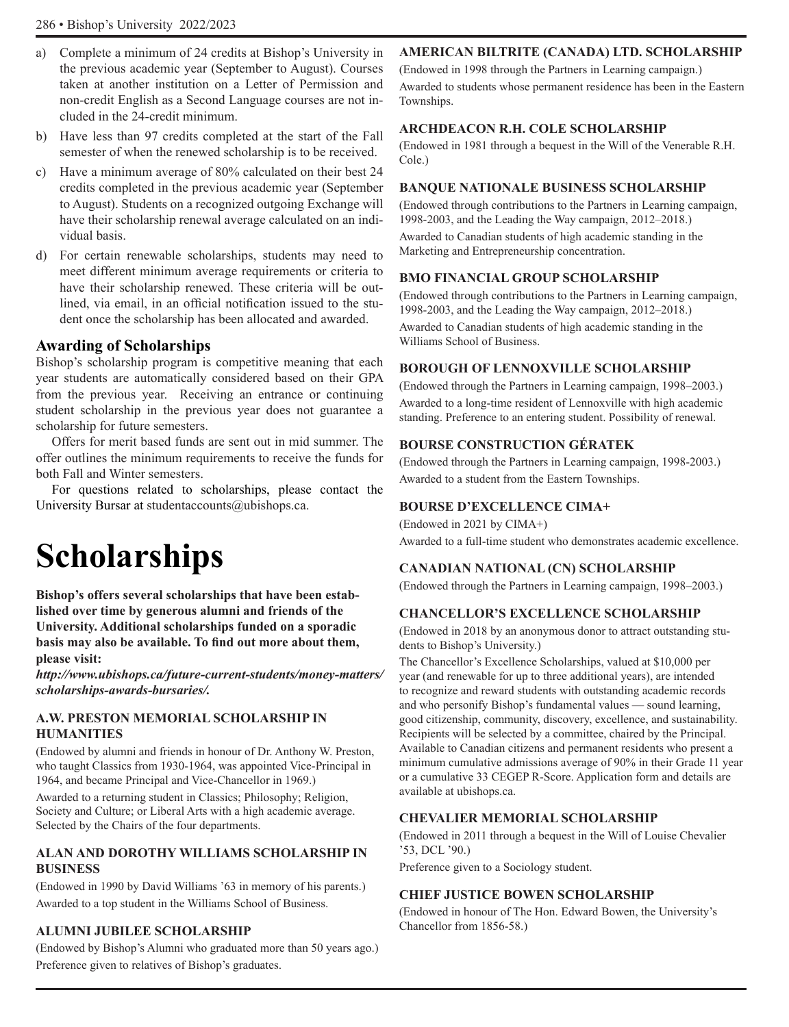- a) Complete a minimum of 24 credits at Bishop's University in the previous academic year (September to August). Courses taken at another institution on a Letter of Permission and non-credit English as a Second Language courses are not included in the 24-credit minimum.
- b) Have less than 97 credits completed at the start of the Fall semester of when the renewed scholarship is to be received.
- c) Have a minimum average of 80% calculated on their best 24 credits completed in the previous academic year (September to August). Students on a recognized outgoing Exchange will have their scholarship renewal average calculated on an individual basis.
- d) For certain renewable scholarships, students may need to meet different minimum average requirements or criteria to have their scholarship renewed. These criteria will be outlined, via email, in an official notification issued to the student once the scholarship has been allocated and awarded.

### **Awarding of Scholarships**

Bishop's scholarship program is competitive meaning that each year students are automatically considered based on their GPA from the previous year. Receiving an entrance or continuing student scholarship in the previous year does not guarantee a scholarship for future semesters.

Offers for merit based funds are sent out in mid summer. The offer outlines the minimum requirements to receive the funds for both Fall and Winter semesters.

For questions related to scholarships, please contact the University Bursar at studentaccounts@ubishops.ca.

# **Scholarships**

**Bishop's offers several scholarships that have been established over time by generous alumni and friends of the University. Additional scholarships funded on a sporadic basis may also be available. To find out more about them, please visit:** 

*http://www.ubishops.ca/future-current-students/money-matters/ scholarships-awards-bursaries/.*

### **A.W. PRESTON MEMORIAL SCHOLARSHIP IN HUMANITIES**

(Endowed by alumni and friends in honour of Dr. Anthony W. Preston, who taught Classics from 1930-1964, was appointed Vice-Principal in 1964, and became Principal and Vice-Chancellor in 1969.)

Awarded to a returning student in Classics; Philosophy; Religion, Society and Culture; or Liberal Arts with a high academic average. Selected by the Chairs of the four departments.

### **ALAN AND DOROTHY WILLIAMS SCHOLARSHIP IN BUSINESS**

(Endowed in 1990 by David Williams '63 in memory of his parents.) Awarded to a top student in the Williams School of Business.

### **ALUMNI JUBILEE SCHOLARSHIP**

(Endowed by Bishop's Alumni who graduated more than 50 years ago.) Preference given to relatives of Bishop's graduates.

### **AMERICAN BILTRITE (CANADA) LTD. SCHOLARSHIP**

(Endowed in 1998 through the Partners in Learning campaign.) Awarded to students whose permanent residence has been in the Eastern Townships.

### **ARCHDEACON R.H. COLE SCHOLARSHIP**

(Endowed in 1981 through a bequest in the Will of the Venerable R.H. Cole.)

### **BANQUE NATIONALE BUSINESS SCHOLARSHIP**

(Endowed through contributions to the Partners in Learning campaign, 1998-2003, and the Leading the Way campaign, 2012–2018.)

Awarded to Canadian students of high academic standing in the Marketing and Entrepreneurship concentration.

### **BMO FINANCIAL GROUP SCHOLARSHIP**

(Endowed through contributions to the Partners in Learning campaign, 1998-2003, and the Leading the Way campaign, 2012–2018.) Awarded to Canadian students of high academic standing in the Williams School of Business.

### **BOROUGH OF LENNOXVILLE SCHOLARSHIP**

(Endowed through the Partners in Learning campaign, 1998–2003.) Awarded to a long-time resident of Lennoxville with high academic standing. Preference to an entering student. Possibility of renewal.

### **BOURSE CONSTRUCTION GÉRATEK**

(Endowed through the Partners in Learning campaign, 1998-2003.) Awarded to a student from the Eastern Townships.

### **BOURSE D'EXCELLENCE CIMA+**

(Endowed in 2021 by CIMA+) Awarded to a full-time student who demonstrates academic excellence.

### **CANADIAN NATIONAL (CN) SCHOLARSHIP**

(Endowed through the Partners in Learning campaign, 1998–2003.)

### **CHANCELLOR'S EXCELLENCE SCHOLARSHIP**

(Endowed in 2018 by an anonymous donor to attract outstanding students to Bishop's University.)

The Chancellor's Excellence Scholarships, valued at \$10,000 per year (and renewable for up to three additional years), are intended to recognize and reward students with outstanding academic records and who personify Bishop's fundamental values — sound learning, good citizenship, community, discovery, excellence, and sustainability. Recipients will be selected by a committee, chaired by the Principal. Available to Canadian citizens and permanent residents who present a minimum cumulative admissions average of 90% in their Grade 11 year or a cumulative 33 CEGEP R-Score. Application form and details are available at ubishops.ca.

### **CHEVALIER MEMORIAL SCHOLARSHIP**

(Endowed in 2011 through a bequest in the Will of Louise Chevalier '53, DCL '90.)

Preference given to a Sociology student.

### **CHIEF JUSTICE BOWEN SCHOLARSHIP**

(Endowed in honour of The Hon. Edward Bowen, the University's Chancellor from 1856-58.)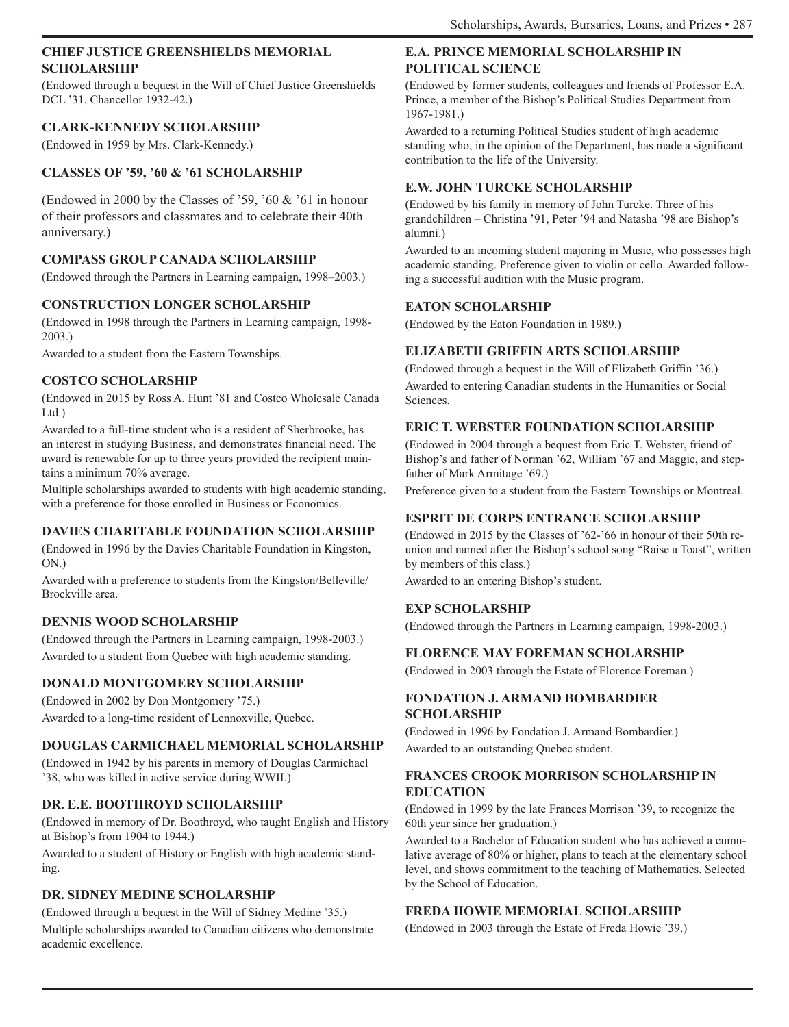### **CHIEF JUSTICE GREENSHIELDS MEMORIAL SCHOLARSHIP**

(Endowed through a bequest in the Will of Chief Justice Greenshields DCL '31, Chancellor 1932-42.)

### **CLARK-KENNEDY SCHOLARSHIP**

(Endowed in 1959 by Mrs. Clark-Kennedy.)

### **CLASSES OF '59, '60 & '61 SCHOLARSHIP**

(Endowed in 2000 by the Classes of '59, '60 & '61 in honour of their professors and classmates and to celebrate their 40th anniversary.)

### **COMPASS GROUP CANADA SCHOLARSHIP**

(Endowed through the Partners in Learning campaign, 1998–2003.)

### **CONSTRUCTION LONGER SCHOLARSHIP**

(Endowed in 1998 through the Partners in Learning campaign, 1998- 2003.)

Awarded to a student from the Eastern Townships.

### **COSTCO SCHOLARSHIP**

(Endowed in 2015 by Ross A. Hunt '81 and Costco Wholesale Canada Ltd.)

Awarded to a full-time student who is a resident of Sherbrooke, has an interest in studying Business, and demonstrates financial need. The award is renewable for up to three years provided the recipient maintains a minimum 70% average.

Multiple scholarships awarded to students with high academic standing, with a preference for those enrolled in Business or Economics.

### **DAVIES CHARITABLE FOUNDATION SCHOLARSHIP**

(Endowed in 1996 by the Davies Charitable Foundation in Kingston, ON.)

Awarded with a preference to students from the Kingston/Belleville/ Brockville area.

### **DENNIS WOOD SCHOLARSHIP**

(Endowed through the Partners in Learning campaign, 1998-2003.) Awarded to a student from Quebec with high academic standing.

### **DONALD MONTGOMERY SCHOLARSHIP**

(Endowed in 2002 by Don Montgomery '75.) Awarded to a long-time resident of Lennoxville, Quebec.

### **DOUGLAS CARMICHAEL MEMORIAL SCHOLARSHIP**

(Endowed in 1942 by his parents in memory of Douglas Carmichael '38, who was killed in active service during WWII.)

### **DR. E.E. BOOTHROYD SCHOLARSHIP**

(Endowed in memory of Dr. Boothroyd, who taught English and History at Bishop's from 1904 to 1944.)

Awarded to a student of History or English with high academic standing.

### **DR. SIDNEY MEDINE SCHOLARSHIP**

(Endowed through a bequest in the Will of Sidney Medine '35.) Multiple scholarships awarded to Canadian citizens who demonstrate academic excellence.

### **E.A. PRINCE MEMORIAL SCHOLARSHIP IN POLITICAL SCIENCE**

(Endowed by former students, colleagues and friends of Professor E.A. Prince, a member of the Bishop's Political Studies Department from 1967-1981.)

Awarded to a returning Political Studies student of high academic standing who, in the opinion of the Department, has made a significant contribution to the life of the University.

### **E.W. JOHN TURCKE SCHOLARSHIP**

(Endowed by his family in memory of John Turcke. Three of his grandchildren – Christina '91, Peter '94 and Natasha '98 are Bishop's alumni.)

Awarded to an incoming student majoring in Music, who possesses high academic standing. Preference given to violin or cello. Awarded following a successful audition with the Music program.

### **EATON SCHOLARSHIP**

(Endowed by the Eaton Foundation in 1989.)

### **ELIZABETH GRIFFIN ARTS SCHOLARSHIP**

(Endowed through a bequest in the Will of Elizabeth Griffin '36.) Awarded to entering Canadian students in the Humanities or Social Sciences.

### **ERIC T. WEBSTER FOUNDATION SCHOLARSHIP**

(Endowed in 2004 through a bequest from Eric T. Webster, friend of Bishop's and father of Norman '62, William '67 and Maggie, and stepfather of Mark Armitage '69.)

Preference given to a student from the Eastern Townships or Montreal.

### **ESPRIT DE CORPS ENTRANCE SCHOLARSHIP**

(Endowed in 2015 by the Classes of '62-'66 in honour of their 50th reunion and named after the Bishop's school song "Raise a Toast", written by members of this class.)

Awarded to an entering Bishop's student.

### **EXP SCHOLARSHIP**

(Endowed through the Partners in Learning campaign, 1998-2003.)

### **FLORENCE MAY FOREMAN SCHOLARSHIP**

(Endowed in 2003 through the Estate of Florence Foreman.)

### **FONDATION J. ARMAND BOMBARDIER SCHOLARSHIP**

(Endowed in 1996 by Fondation J. Armand Bombardier.) Awarded to an outstanding Quebec student.

### **FRANCES CROOK MORRISON SCHOLARSHIP IN EDUCATION**

(Endowed in 1999 by the late Frances Morrison '39, to recognize the 60th year since her graduation.)

Awarded to a Bachelor of Education student who has achieved a cumulative average of 80% or higher, plans to teach at the elementary school level, and shows commitment to the teaching of Mathematics. Selected by the School of Education.

### **FREDA HOWIE MEMORIAL SCHOLARSHIP**

(Endowed in 2003 through the Estate of Freda Howie '39.)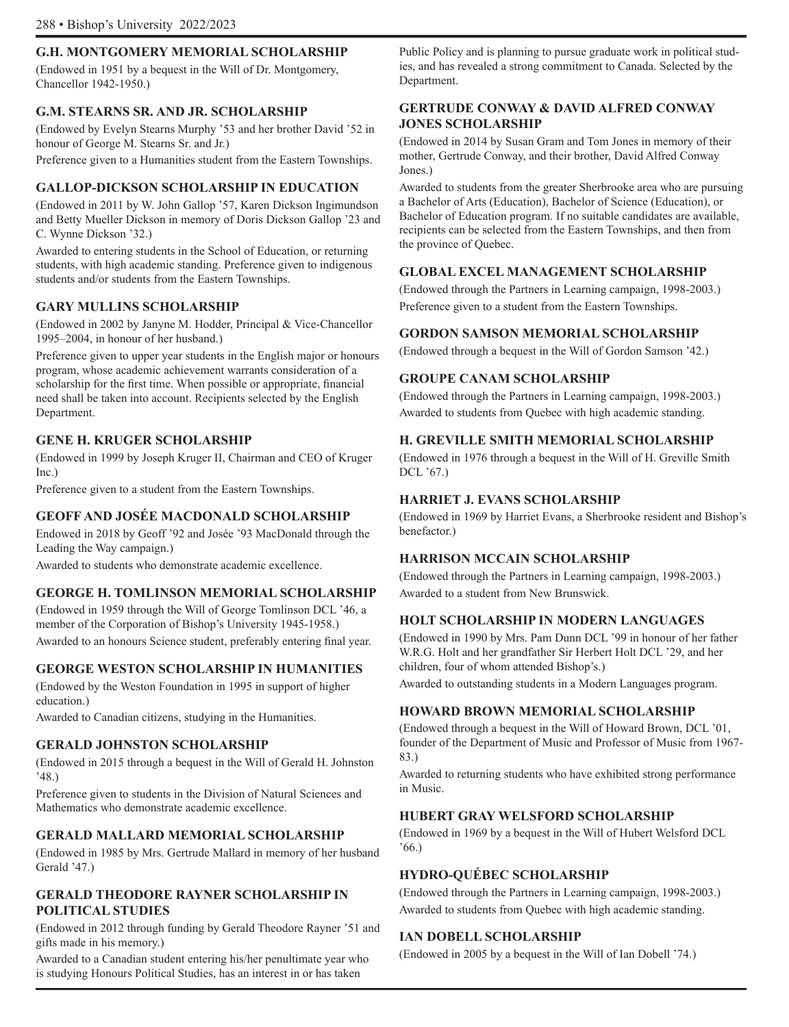### **G.H. MONTGOMERY MEMORIAL SCHOLARSHIP**

(Endowed in 1951 by a bequest in the Will of Dr. Montgomery, Chancellor 1942-1950.)

### **G.M. STEARNS SR. AND JR. SCHOLARSHIP**

(Endowed by Evelyn Stearns Murphy '53 and her brother David '52 in honour of George M. Stearns Sr. and Jr.)

Preference given to a Humanities student from the Eastern Townships.

### **GALLOP-DICKSON SCHOLARSHIP IN EDUCATION**

(Endowed in 2011 by W. John Gallop '57, Karen Dickson Ingimundson and Betty Mueller Dickson in memory of Doris Dickson Gallop '23 and C. Wynne Dickson '32.)

Awarded to entering students in the School of Education, or returning students, with high academic standing. Preference given to indigenous students and/or students from the Eastern Townships.

### **GARY MULLINS SCHOLARSHIP**

(Endowed in 2002 by Janyne M. Hodder, Principal & Vice-Chancellor 1995–2004, in honour of her husband.)

Preference given to upper year students in the English major or honours program, whose academic achievement warrants consideration of a scholarship for the first time. When possible or appropriate, financial need shall be taken into account. Recipients selected by the English Department.

### **GENE H. KRUGER SCHOLARSHIP**

(Endowed in 1999 by Joseph Kruger II, Chairman and CEO of Kruger Inc.)

Preference given to a student from the Eastern Townships.

### **GEOFF AND JOSÉE MACDONALD SCHOLARSHIP**

Endowed in 2018 by Geoff '92 and Josée '93 MacDonald through the Leading the Way campaign.)

Awarded to students who demonstrate academic excellence.

### **GEORGE H. TOMLINSON MEMORIAL SCHOLARSHIP**

(Endowed in 1959 through the Will of George Tomlinson DCL '46, a member of the Corporation of Bishop's University 1945-1958.) Awarded to an honours Science student, preferably entering final year.

### **GEORGE WESTON SCHOLARSHIP IN HUMANITIES**

(Endowed by the Weston Foundation in 1995 in support of higher education.)

Awarded to Canadian citizens, studying in the Humanities.

### **GERALD JOHNSTON SCHOLARSHIP**

(Endowed in 2015 through a bequest in the Will of Gerald H. Johnston '48.)

Preference given to students in the Division of Natural Sciences and Mathematics who demonstrate academic excellence.

### **GERALD MALLARD MEMORIAL SCHOLARSHIP**

(Endowed in 1985 by Mrs. Gertrude Mallard in memory of her husband Gerald '47.)

### **GERALD THEODORE RAYNER SCHOLARSHIP IN POLITICAL STUDIES**

(Endowed in 2012 through funding by Gerald Theodore Rayner '51 and gifts made in his memory.)

Awarded to a Canadian student entering his/her penultimate year who is studying Honours Political Studies, has an interest in or has taken

Public Policy and is planning to pursue graduate work in political studies, and has revealed a strong commitment to Canada. Selected by the Department.

### **GERTRUDE CONWAY & DAVID ALFRED CONWAY JONES SCHOLARSHIP**

(Endowed in 2014 by Susan Gram and Tom Jones in memory of their mother, Gertrude Conway, and their brother, David Alfred Conway Jones.)

Awarded to students from the greater Sherbrooke area who are pursuing a Bachelor of Arts (Education), Bachelor of Science (Education), or Bachelor of Education program. If no suitable candidates are available, recipients can be selected from the Eastern Townships, and then from the province of Quebec.

### **GLOBAL EXCEL MANAGEMENT SCHOLARSHIP**

(Endowed through the Partners in Learning campaign, 1998-2003.) Preference given to a student from the Eastern Townships.

### **GORDON SAMSON MEMORIAL SCHOLARSHIP**

(Endowed through a bequest in the Will of Gordon Samson '42.)

### **GROUPE CANAM SCHOLARSHIP**

(Endowed through the Partners in Learning campaign, 1998-2003.) Awarded to students from Quebec with high academic standing.

### **H. GREVILLE SMITH MEMORIAL SCHOLARSHIP**

(Endowed in 1976 through a bequest in the Will of H. Greville Smith DCL '67.)

### **HARRIET J. EVANS SCHOLARSHIP**

(Endowed in 1969 by Harriet Evans, a Sherbrooke resident and Bishop's benefactor.)

### **HARRISON MCCAIN SCHOLARSHIP**

(Endowed through the Partners in Learning campaign, 1998-2003.) Awarded to a student from New Brunswick.

### **HOLT SCHOLARSHIP IN MODERN LANGUAGES**

(Endowed in 1990 by Mrs. Pam Dunn DCL '99 in honour of her father W.R.G. Holt and her grandfather Sir Herbert Holt DCL '29, and her children, four of whom attended Bishop's.)

Awarded to outstanding students in a Modern Languages program.

### **HOWARD BROWN MEMORIAL SCHOLARSHIP**

(Endowed through a bequest in the Will of Howard Brown, DCL '01, founder of the Department of Music and Professor of Music from 1967- 83.)

Awarded to returning students who have exhibited strong performance in Music.

### **HUBERT GRAY WELSFORD SCHOLARSHIP**

(Endowed in 1969 by a bequest in the Will of Hubert Welsford DCL  $66.$ 

### **HYDRO-QUÉBEC SCHOLARSHIP**

(Endowed through the Partners in Learning campaign, 1998-2003.) Awarded to students from Quebec with high academic standing.

### **IAN DOBELL SCHOLARSHIP**

(Endowed in 2005 by a bequest in the Will of Ian Dobell '74.)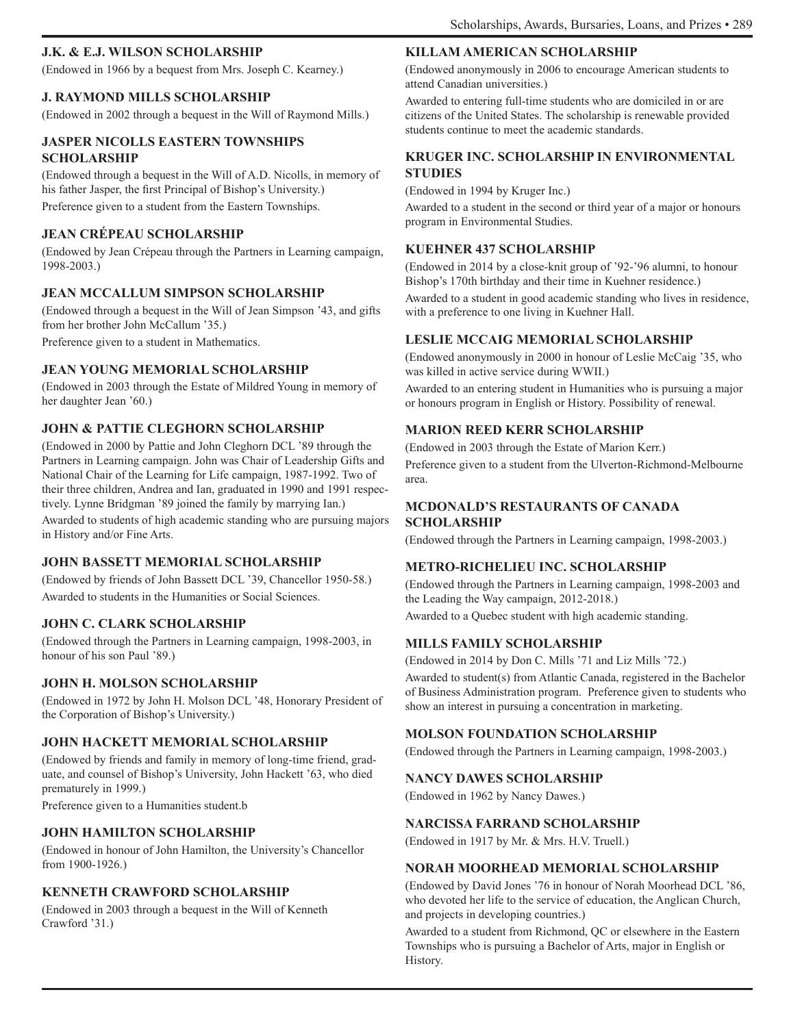### **J.K. & E.J. WILSON SCHOLARSHIP**

(Endowed in 1966 by a bequest from Mrs. Joseph C. Kearney.)

### **J. RAYMOND MILLS SCHOLARSHIP**

(Endowed in 2002 through a bequest in the Will of Raymond Mills.)

### **JASPER NICOLLS EASTERN TOWNSHIPS SCHOLARSHIP**

(Endowed through a bequest in the Will of A.D. Nicolls, in memory of his father Jasper, the first Principal of Bishop's University.) Preference given to a student from the Eastern Townships.

### **JEAN CRÉPEAU SCHOLARSHIP**

(Endowed by Jean Crépeau through the Partners in Learning campaign, 1998-2003.)

### **JEAN MCCALLUM SIMPSON SCHOLARSHIP**

(Endowed through a bequest in the Will of Jean Simpson '43, and gifts from her brother John McCallum '35.)

Preference given to a student in Mathematics.

### **JEAN YOUNG MEMORIAL SCHOLARSHIP**

(Endowed in 2003 through the Estate of Mildred Young in memory of her daughter Jean '60.)

### **JOHN & PATTIE CLEGHORN SCHOLARSHIP**

(Endowed in 2000 by Pattie and John Cleghorn DCL '89 through the Partners in Learning campaign. John was Chair of Leadership Gifts and National Chair of the Learning for Life campaign, 1987-1992. Two of their three children, Andrea and Ian, graduated in 1990 and 1991 respectively. Lynne Bridgman '89 joined the family by marrying Ian.) Awarded to students of high academic standing who are pursuing majors in History and/or Fine Arts.

### **JOHN BASSETT MEMORIAL SCHOLARSHIP**

(Endowed by friends of John Bassett DCL '39, Chancellor 1950-58.) Awarded to students in the Humanities or Social Sciences.

### **JOHN C. CLARK SCHOLARSHIP**

(Endowed through the Partners in Learning campaign, 1998-2003, in honour of his son Paul '89.)

### **JOHN H. MOLSON SCHOLARSHIP**

(Endowed in 1972 by John H. Molson DCL '48, Honorary President of the Corporation of Bishop's University.)

### **JOHN HACKETT MEMORIAL SCHOLARSHIP**

(Endowed by friends and family in memory of long-time friend, graduate, and counsel of Bishop's University, John Hackett '63, who died prematurely in 1999.)

Preference given to a Humanities student.b

### **JOHN HAMILTON SCHOLARSHIP**

(Endowed in honour of John Hamilton, the University's Chancellor from 1900-1926.)

### **KENNETH CRAWFORD SCHOLARSHIP**

(Endowed in 2003 through a bequest in the Will of Kenneth Crawford '31.)

### **KILLAM AMERICAN SCHOLARSHIP**

(Endowed anonymously in 2006 to encourage American students to attend Canadian universities.)

Awarded to entering full-time students who are domiciled in or are citizens of the United States. The scholarship is renewable provided students continue to meet the academic standards.

### **KRUGER INC. SCHOLARSHIP IN ENVIRONMENTAL STUDIES**

(Endowed in 1994 by Kruger Inc.)

Awarded to a student in the second or third year of a major or honours program in Environmental Studies.

### **KUEHNER 437 SCHOLARSHIP**

(Endowed in 2014 by a close-knit group of '92-'96 alumni, to honour Bishop's 170th birthday and their time in Kuehner residence.)

Awarded to a student in good academic standing who lives in residence, with a preference to one living in Kuehner Hall.

### **LESLIE MCCAIG MEMORIAL SCHOLARSHIP**

(Endowed anonymously in 2000 in honour of Leslie McCaig '35, who was killed in active service during WWII.)

Awarded to an entering student in Humanities who is pursuing a major or honours program in English or History. Possibility of renewal.

### **MARION REED KERR SCHOLARSHIP**

(Endowed in 2003 through the Estate of Marion Kerr.) Preference given to a student from the Ulverton-Richmond-Melbourne area.

### **MCDONALD'S RESTAURANTS OF CANADA SCHOLARSHIP**

(Endowed through the Partners in Learning campaign, 1998-2003.)

### **METRO-RICHELIEU INC. SCHOLARSHIP**

(Endowed through the Partners in Learning campaign, 1998-2003 and the Leading the Way campaign, 2012-2018.) Awarded to a Quebec student with high academic standing.

### **MILLS FAMILY SCHOLARSHIP**

(Endowed in 2014 by Don C. Mills '71 and Liz Mills '72.) Awarded to student(s) from Atlantic Canada, registered in the Bachelor of Business Administration program. Preference given to students who show an interest in pursuing a concentration in marketing.

### **MOLSON FOUNDATION SCHOLARSHIP**

(Endowed through the Partners in Learning campaign, 1998-2003.)

### **NANCY DAWES SCHOLARSHIP**

(Endowed in 1962 by Nancy Dawes.)

### **NARCISSA FARRAND SCHOLARSHIP**

(Endowed in 1917 by Mr. & Mrs. H.V. Truell.)

### **NORAH MOORHEAD MEMORIAL SCHOLARSHIP**

(Endowed by David Jones '76 in honour of Norah Moorhead DCL '86, who devoted her life to the service of education, the Anglican Church, and projects in developing countries.)

Awarded to a student from Richmond, QC or elsewhere in the Eastern Townships who is pursuing a Bachelor of Arts, major in English or History.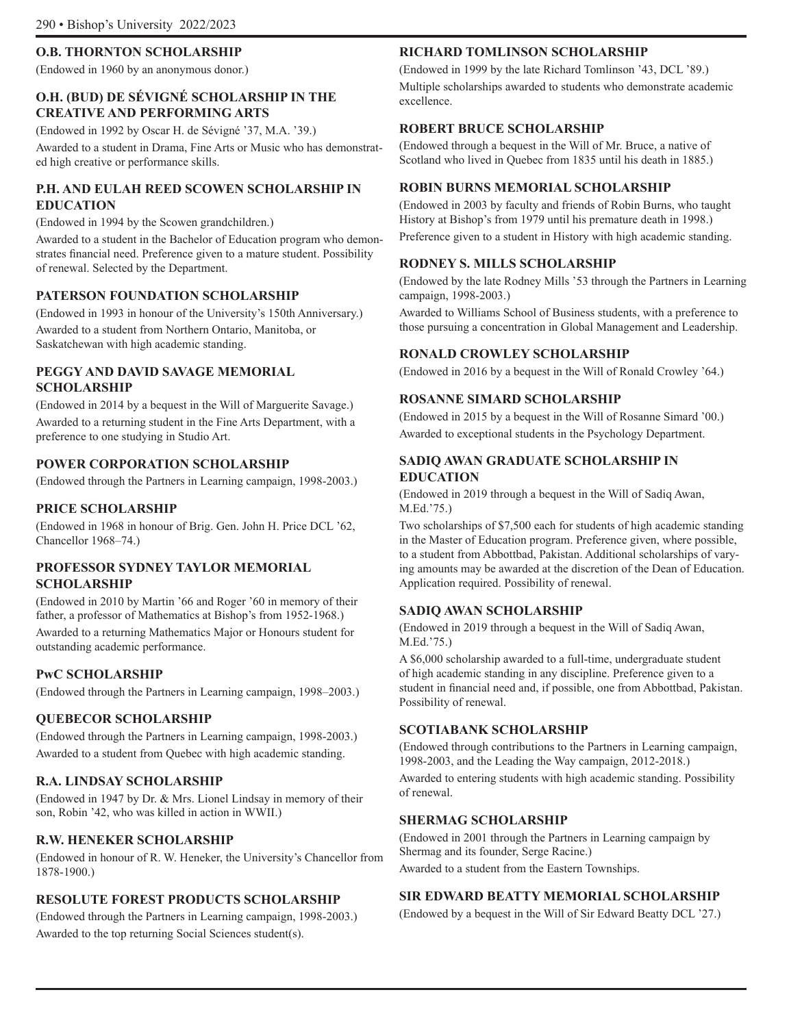### **O.B. THORNTON SCHOLARSHIP**

(Endowed in 1960 by an anonymous donor.)

### **O.H. (BUD) DE SÉVIGNÉ SCHOLARSHIP IN THE CREATIVE AND PERFORMING ARTS**

(Endowed in 1992 by Oscar H. de Sévigné '37, M.A. '39.)

Awarded to a student in Drama, Fine Arts or Music who has demonstrated high creative or performance skills.

### **P.H. AND EULAH REED SCOWEN SCHOLARSHIP IN EDUCATION**

(Endowed in 1994 by the Scowen grandchildren.)

Awarded to a student in the Bachelor of Education program who demonstrates financial need. Preference given to a mature student. Possibility of renewal. Selected by the Department.

### **PATERSON FOUNDATION SCHOLARSHIP**

(Endowed in 1993 in honour of the University's 150th Anniversary.) Awarded to a student from Northern Ontario, Manitoba, or Saskatchewan with high academic standing.

### **PEGGY AND DAVID SAVAGE MEMORIAL SCHOLARSHIP**

(Endowed in 2014 by a bequest in the Will of Marguerite Savage.) Awarded to a returning student in the Fine Arts Department, with a preference to one studying in Studio Art.

### **POWER CORPORATION SCHOLARSHIP**

(Endowed through the Partners in Learning campaign, 1998-2003.)

### **PRICE SCHOLARSHIP**

(Endowed in 1968 in honour of Brig. Gen. John H. Price DCL '62, Chancellor 1968–74.)

### **PROFESSOR SYDNEY TAYLOR MEMORIAL SCHOLARSHIP**

(Endowed in 2010 by Martin '66 and Roger '60 in memory of their father, a professor of Mathematics at Bishop's from 1952-1968.) Awarded to a returning Mathematics Major or Honours student for outstanding academic performance.

### **PwC SCHOLARSHIP**

(Endowed through the Partners in Learning campaign, 1998–2003.)

### **QUEBECOR SCHOLARSHIP**

(Endowed through the Partners in Learning campaign, 1998-2003.) Awarded to a student from Quebec with high academic standing.

### **R.A. LINDSAY SCHOLARSHIP**

(Endowed in 1947 by Dr. & Mrs. Lionel Lindsay in memory of their son, Robin '42, who was killed in action in WWII.)

### **R.W. HENEKER SCHOLARSHIP**

(Endowed in honour of R. W. Heneker, the University's Chancellor from 1878-1900.)

### **RESOLUTE FOREST PRODUCTS SCHOLARSHIP**

(Endowed through the Partners in Learning campaign, 1998-2003.) Awarded to the top returning Social Sciences student(s).

### **RICHARD TOMLINSON SCHOLARSHIP**

(Endowed in 1999 by the late Richard Tomlinson '43, DCL '89.) Multiple scholarships awarded to students who demonstrate academic excellence.

### **ROBERT BRUCE SCHOLARSHIP**

(Endowed through a bequest in the Will of Mr. Bruce, a native of Scotland who lived in Quebec from 1835 until his death in 1885.)

### **ROBIN BURNS MEMORIAL SCHOLARSHIP**

(Endowed in 2003 by faculty and friends of Robin Burns, who taught History at Bishop's from 1979 until his premature death in 1998.)

Preference given to a student in History with high academic standing.

### **RODNEY S. MILLS SCHOLARSHIP**

(Endowed by the late Rodney Mills '53 through the Partners in Learning campaign, 1998-2003.)

Awarded to Williams School of Business students, with a preference to those pursuing a concentration in Global Management and Leadership.

### **RONALD CROWLEY SCHOLARSHIP**

(Endowed in 2016 by a bequest in the Will of Ronald Crowley '64.)

### **ROSANNE SIMARD SCHOLARSHIP**

(Endowed in 2015 by a bequest in the Will of Rosanne Simard '00.) Awarded to exceptional students in the Psychology Department.

### **SADIQ AWAN GRADUATE SCHOLARSHIP IN EDUCATION**

(Endowed in 2019 through a bequest in the Will of Sadiq Awan, M.Ed.'75.)

Two scholarships of \$7,500 each for students of high academic standing in the Master of Education program. Preference given, where possible, to a student from Abbottbad, Pakistan. Additional scholarships of varying amounts may be awarded at the discretion of the Dean of Education. Application required. Possibility of renewal.

### **SADIQ AWAN SCHOLARSHIP**

(Endowed in 2019 through a bequest in the Will of Sadiq Awan, M.Ed.'75.)

A \$6,000 scholarship awarded to a full-time, undergraduate student of high academic standing in any discipline. Preference given to a student in financial need and, if possible, one from Abbottbad, Pakistan. Possibility of renewal.

### **SCOTIABANK SCHOLARSHIP**

(Endowed through contributions to the Partners in Learning campaign, 1998-2003, and the Leading the Way campaign, 2012-2018.)

Awarded to entering students with high academic standing. Possibility of renewal.

### **SHERMAG SCHOLARSHIP**

(Endowed in 2001 through the Partners in Learning campaign by Shermag and its founder, Serge Racine.) Awarded to a student from the Eastern Townships.

### **SIR EDWARD BEATTY MEMORIAL SCHOLARSHIP**

(Endowed by a bequest in the Will of Sir Edward Beatty DCL '27.)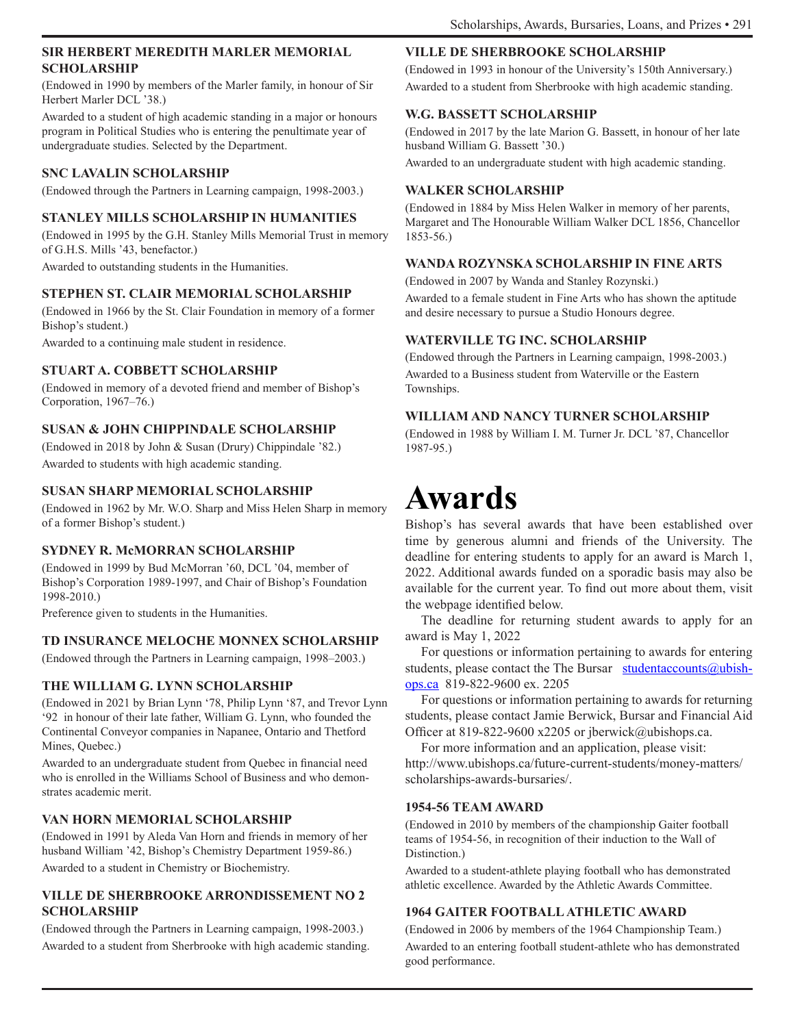### **SIR HERBERT MEREDITH MARLER MEMORIAL SCHOLARSHIP**

(Endowed in 1990 by members of the Marler family, in honour of Sir Herbert Marler DCL '38.)

Awarded to a student of high academic standing in a major or honours program in Political Studies who is entering the penultimate year of undergraduate studies. Selected by the Department.

### **SNC LAVALIN SCHOLARSHIP**

(Endowed through the Partners in Learning campaign, 1998-2003.)

### **STANLEY MILLS SCHOLARSHIP IN HUMANITIES**

(Endowed in 1995 by the G.H. Stanley Mills Memorial Trust in memory of G.H.S. Mills '43, benefactor.)

Awarded to outstanding students in the Humanities.

### **STEPHEN ST. CLAIR MEMORIAL SCHOLARSHIP**

(Endowed in 1966 by the St. Clair Foundation in memory of a former Bishop's student.)

Awarded to a continuing male student in residence.

### **STUART A. COBBETT SCHOLARSHIP**

(Endowed in memory of a devoted friend and member of Bishop's Corporation, 1967–76.)

### **SUSAN & JOHN CHIPPINDALE SCHOLARSHIP**

(Endowed in 2018 by John & Susan (Drury) Chippindale '82.) Awarded to students with high academic standing.

### **SUSAN SHARP MEMORIAL SCHOLARSHIP**

(Endowed in 1962 by Mr. W.O. Sharp and Miss Helen Sharp in memory of a former Bishop's student.)

### **SYDNEY R. McMORRAN SCHOLARSHIP**

(Endowed in 1999 by Bud McMorran '60, DCL '04, member of Bishop's Corporation 1989-1997, and Chair of Bishop's Foundation 1998-2010.)

Preference given to students in the Humanities.

### **TD INSURANCE MELOCHE MONNEX SCHOLARSHIP**

(Endowed through the Partners in Learning campaign, 1998–2003.)

### **THE WILLIAM G. LYNN SCHOLARSHIP**

(Endowed in 2021 by Brian Lynn '78, Philip Lynn '87, and Trevor Lynn '92 in honour of their late father, William G. Lynn, who founded the Continental Conveyor companies in Napanee, Ontario and Thetford Mines, Quebec.)

Awarded to an undergraduate student from Quebec in financial need who is enrolled in the Williams School of Business and who demonstrates academic merit.

### **VAN HORN MEMORIAL SCHOLARSHIP**

(Endowed in 1991 by Aleda Van Horn and friends in memory of her husband William '42, Bishop's Chemistry Department 1959-86.) Awarded to a student in Chemistry or Biochemistry.

### **VILLE DE SHERBROOKE ARRONDISSEMENT NO 2 SCHOLARSHIP**

(Endowed through the Partners in Learning campaign, 1998-2003.) Awarded to a student from Sherbrooke with high academic standing.

### **VILLE DE SHERBROOKE SCHOLARSHIP**

(Endowed in 1993 in honour of the University's 150th Anniversary.) Awarded to a student from Sherbrooke with high academic standing.

### **W.G. BASSETT SCHOLARSHIP**

(Endowed in 2017 by the late Marion G. Bassett, in honour of her late husband William G. Bassett '30.)

Awarded to an undergraduate student with high academic standing.

### **WALKER SCHOLARSHIP**

(Endowed in 1884 by Miss Helen Walker in memory of her parents, Margaret and The Honourable William Walker DCL 1856, Chancellor 1853-56.)

### **WANDA ROZYNSKA SCHOLARSHIP IN FINE ARTS**

(Endowed in 2007 by Wanda and Stanley Rozynski.) Awarded to a female student in Fine Arts who has shown the aptitude and desire necessary to pursue a Studio Honours degree.

### **WATERVILLE TG INC. SCHOLARSHIP**

(Endowed through the Partners in Learning campaign, 1998-2003.) Awarded to a Business student from Waterville or the Eastern Townships.

### **WILLIAM AND NANCY TURNER SCHOLARSHIP**

(Endowed in 1988 by William I. M. Turner Jr. DCL '87, Chancellor 1987-95.)

# **Awards**

Bishop's has several awards that have been established over time by generous alumni and friends of the University. The deadline for entering students to apply for an award is March 1, 2022. Additional awards funded on a sporadic basis may also be available for the current year. To find out more about them, visit the webpage identified below.

The deadline for returning student awards to apply for an award is May 1, 2022

For questions or information pertaining to awards for entering students, please contact the The Bursar studentaccounts $@$ ubishops.ca 819-822-9600 ex. 2205

For questions or information pertaining to awards for returning students, please contact Jamie Berwick, Bursar and Financial Aid Officer at 819-822-9600 x2205 or jberwick@ubishops.ca.

For more information and an application, please visit: http://www.ubishops.ca/future-current-students/money-matters/ scholarships-awards-bursaries/.

### **1954-56 TEAM AWARD**

(Endowed in 2010 by members of the championship Gaiter football teams of 1954-56, in recognition of their induction to the Wall of Distinction.)

Awarded to a student-athlete playing football who has demonstrated athletic excellence. Awarded by the Athletic Awards Committee.

### **1964 GAITER FOOTBALL ATHLETIC AWARD**

(Endowed in 2006 by members of the 1964 Championship Team.) Awarded to an entering football student-athlete who has demonstrated good performance.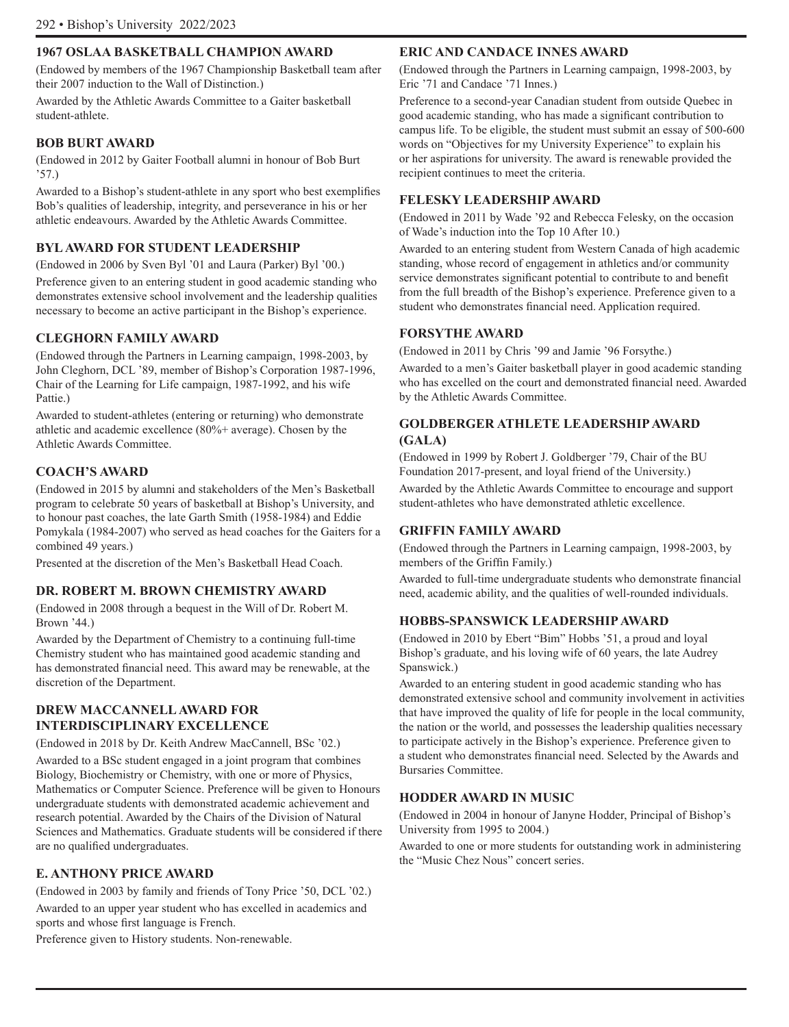### **1967 OSLAA BASKETBALL CHAMPION AWARD**

(Endowed by members of the 1967 Championship Basketball team after their 2007 induction to the Wall of Distinction.)

Awarded by the Athletic Awards Committee to a Gaiter basketball student-athlete.

### **BOB BURT AWARD**

(Endowed in 2012 by Gaiter Football alumni in honour of Bob Burt '57.)

Awarded to a Bishop's student-athlete in any sport who best exemplifies Bob's qualities of leadership, integrity, and perseverance in his or her athletic endeavours. Awarded by the Athletic Awards Committee.

### **BYL AWARD FOR STUDENT LEADERSHIP**

(Endowed in 2006 by Sven Byl '01 and Laura (Parker) Byl '00.)

Preference given to an entering student in good academic standing who demonstrates extensive school involvement and the leadership qualities necessary to become an active participant in the Bishop's experience.

### **CLEGHORN FAMILY AWARD**

(Endowed through the Partners in Learning campaign, 1998-2003, by John Cleghorn, DCL '89, member of Bishop's Corporation 1987-1996, Chair of the Learning for Life campaign, 1987-1992, and his wife Pattie.)

Awarded to student-athletes (entering or returning) who demonstrate athletic and academic excellence (80%+ average). Chosen by the Athletic Awards Committee.

### **COACH'S AWARD**

(Endowed in 2015 by alumni and stakeholders of the Men's Basketball program to celebrate 50 years of basketball at Bishop's University, and to honour past coaches, the late Garth Smith (1958-1984) and Eddie Pomykala (1984-2007) who served as head coaches for the Gaiters for a combined 49 years.)

Presented at the discretion of the Men's Basketball Head Coach.

### **DR. ROBERT M. BROWN CHEMISTRY AWARD**

(Endowed in 2008 through a bequest in the Will of Dr. Robert M. Brown '44.)

Awarded by the Department of Chemistry to a continuing full-time Chemistry student who has maintained good academic standing and has demonstrated financial need. This award may be renewable, at the discretion of the Department.

### **DREW MACCANNELL AWARD FOR INTERDISCIPLINARY EXCELLENCE**

(Endowed in 2018 by Dr. Keith Andrew MacCannell, BSc '02.) Awarded to a BSc student engaged in a joint program that combines Biology, Biochemistry or Chemistry, with one or more of Physics, Mathematics or Computer Science. Preference will be given to Honours undergraduate students with demonstrated academic achievement and research potential. Awarded by the Chairs of the Division of Natural Sciences and Mathematics. Graduate students will be considered if there are no qualified undergraduates.

### **E. ANTHONY PRICE AWARD**

(Endowed in 2003 by family and friends of Tony Price '50, DCL '02.) Awarded to an upper year student who has excelled in academics and sports and whose first language is French.

Preference given to History students. Non-renewable.

#### **ERIC AND CANDACE INNES AWARD**

(Endowed through the Partners in Learning campaign, 1998-2003, by Eric '71 and Candace '71 Innes.)

Preference to a second-year Canadian student from outside Quebec in good academic standing, who has made a significant contribution to campus life. To be eligible, the student must submit an essay of 500-600 words on "Objectives for my University Experience" to explain his or her aspirations for university. The award is renewable provided the recipient continues to meet the criteria.

#### **FELESKY LEADERSHIP AWARD**

(Endowed in 2011 by Wade '92 and Rebecca Felesky, on the occasion of Wade's induction into the Top 10 After 10.)

Awarded to an entering student from Western Canada of high academic standing, whose record of engagement in athletics and/or community service demonstrates significant potential to contribute to and benefit from the full breadth of the Bishop's experience. Preference given to a student who demonstrates financial need. Application required.

### **FORSYTHE AWARD**

(Endowed in 2011 by Chris '99 and Jamie '96 Forsythe.)

Awarded to a men's Gaiter basketball player in good academic standing who has excelled on the court and demonstrated financial need. Awarded by the Athletic Awards Committee.

### **GOLDBERGER ATHLETE LEADERSHIP AWARD (GALA)**

(Endowed in 1999 by Robert J. Goldberger '79, Chair of the BU Foundation 2017-present, and loyal friend of the University.)

Awarded by the Athletic Awards Committee to encourage and support student-athletes who have demonstrated athletic excellence.

#### **GRIFFIN FAMILY AWARD**

(Endowed through the Partners in Learning campaign, 1998-2003, by members of the Griffin Family.)

Awarded to full-time undergraduate students who demonstrate financial need, academic ability, and the qualities of well-rounded individuals.

### **HOBBS-SPANSWICK LEADERSHIP AWARD**

(Endowed in 2010 by Ebert "Bim" Hobbs '51, a proud and loyal Bishop's graduate, and his loving wife of 60 years, the late Audrey Spanswick.)

Awarded to an entering student in good academic standing who has demonstrated extensive school and community involvement in activities that have improved the quality of life for people in the local community, the nation or the world, and possesses the leadership qualities necessary to participate actively in the Bishop's experience. Preference given to a student who demonstrates financial need. Selected by the Awards and Bursaries Committee.

### **HODDER AWARD IN MUSIC**

(Endowed in 2004 in honour of Janyne Hodder, Principal of Bishop's University from 1995 to 2004.)

Awarded to one or more students for outstanding work in administering the "Music Chez Nous" concert series.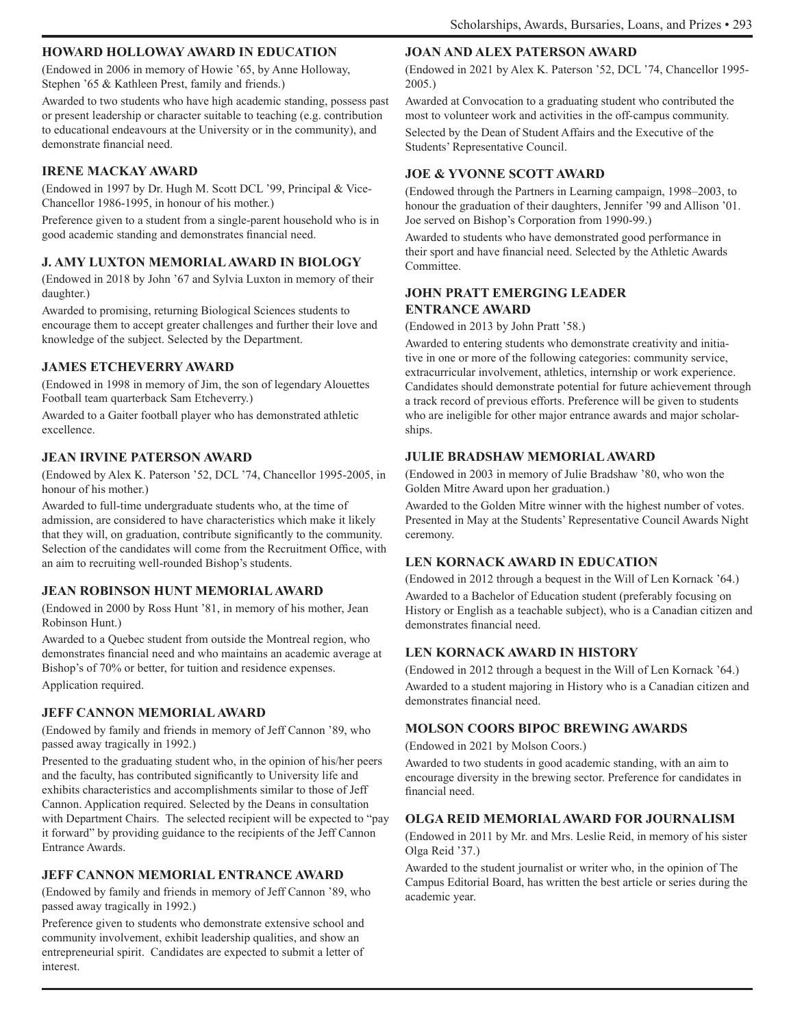### **HOWARD HOLLOWAY AWARD IN EDUCATION**

(Endowed in 2006 in memory of Howie '65, by Anne Holloway, Stephen '65 & Kathleen Prest, family and friends.)

Awarded to two students who have high academic standing, possess past or present leadership or character suitable to teaching (e.g. contribution to educational endeavours at the University or in the community), and demonstrate financial need.

### **IRENE MACKAY AWARD**

(Endowed in 1997 by Dr. Hugh M. Scott DCL '99, Principal & Vice-Chancellor 1986-1995, in honour of his mother.)

Preference given to a student from a single-parent household who is in good academic standing and demonstrates financial need.

### **J. AMY LUXTON MEMORIAL AWARD IN BIOLOGY**

(Endowed in 2018 by John '67 and Sylvia Luxton in memory of their daughter.)

Awarded to promising, returning Biological Sciences students to encourage them to accept greater challenges and further their love and knowledge of the subject. Selected by the Department.

### **JAMES ETCHEVERRY AWARD**

(Endowed in 1998 in memory of Jim, the son of legendary Alouettes Football team quarterback Sam Etcheverry.)

Awarded to a Gaiter football player who has demonstrated athletic excellence.

### **JEAN IRVINE PATERSON AWARD**

(Endowed by Alex K. Paterson '52, DCL '74, Chancellor 1995-2005, in honour of his mother.)

Awarded to full-time undergraduate students who, at the time of admission, are considered to have characteristics which make it likely that they will, on graduation, contribute significantly to the community. Selection of the candidates will come from the Recruitment Office, with an aim to recruiting well-rounded Bishop's students.

### **JEAN ROBINSON HUNT MEMORIAL AWARD**

(Endowed in 2000 by Ross Hunt '81, in memory of his mother, Jean Robinson Hunt.)

Awarded to a Quebec student from outside the Montreal region, who demonstrates financial need and who maintains an academic average at Bishop's of 70% or better, for tuition and residence expenses. Application required.

### **JEFF CANNON MEMORIAL AWARD**

(Endowed by family and friends in memory of Jeff Cannon '89, who passed away tragically in 1992.)

Presented to the graduating student who, in the opinion of his/her peers and the faculty, has contributed significantly to University life and exhibits characteristics and accomplishments similar to those of Jeff Cannon. Application required. Selected by the Deans in consultation with Department Chairs. The selected recipient will be expected to "pay it forward" by providing guidance to the recipients of the Jeff Cannon Entrance Awards.

### **JEFF CANNON MEMORIAL ENTRANCE AWARD**

(Endowed by family and friends in memory of Jeff Cannon '89, who passed away tragically in 1992.)

Preference given to students who demonstrate extensive school and community involvement, exhibit leadership qualities, and show an entrepreneurial spirit. Candidates are expected to submit a letter of interest.

### **JOAN AND ALEX PATERSON AWARD**

(Endowed in 2021 by Alex K. Paterson '52, DCL '74, Chancellor 1995- 2005.)

Awarded at Convocation to a graduating student who contributed the most to volunteer work and activities in the off-campus community. Selected by the Dean of Student Affairs and the Executive of the Students' Representative Council.

### **JOE & YVONNE SCOTT AWARD**

(Endowed through the Partners in Learning campaign, 1998–2003, to honour the graduation of their daughters, Jennifer '99 and Allison '01. Joe served on Bishop's Corporation from 1990-99.)

Awarded to students who have demonstrated good performance in their sport and have financial need. Selected by the Athletic Awards Committee.

### **JOHN PRATT EMERGING LEADER ENTRANCE AWARD**

(Endowed in 2013 by John Pratt '58.)

Awarded to entering students who demonstrate creativity and initiative in one or more of the following categories: community service, extracurricular involvement, athletics, internship or work experience. Candidates should demonstrate potential for future achievement through a track record of previous efforts. Preference will be given to students who are ineligible for other major entrance awards and major scholarships.

### **JULIE BRADSHAW MEMORIAL AWARD**

(Endowed in 2003 in memory of Julie Bradshaw '80, who won the Golden Mitre Award upon her graduation.)

Awarded to the Golden Mitre winner with the highest number of votes. Presented in May at the Students' Representative Council Awards Night ceremony.

### **LEN KORNACK AWARD IN EDUCATION**

(Endowed in 2012 through a bequest in the Will of Len Kornack '64.) Awarded to a Bachelor of Education student (preferably focusing on History or English as a teachable subject), who is a Canadian citizen and demonstrates financial need.

### **LEN KORNACK AWARD IN HISTORY**

(Endowed in 2012 through a bequest in the Will of Len Kornack '64.) Awarded to a student majoring in History who is a Canadian citizen and demonstrates financial need.

### **MOLSON COORS BIPOC BREWING AWARDS**

(Endowed in 2021 by Molson Coors.)

Awarded to two students in good academic standing, with an aim to encourage diversity in the brewing sector. Preference for candidates in financial need.

### **OLGA REID MEMORIAL AWARD FOR JOURNALISM**

(Endowed in 2011 by Mr. and Mrs. Leslie Reid, in memory of his sister Olga Reid '37.)

Awarded to the student journalist or writer who, in the opinion of The Campus Editorial Board, has written the best article or series during the academic year.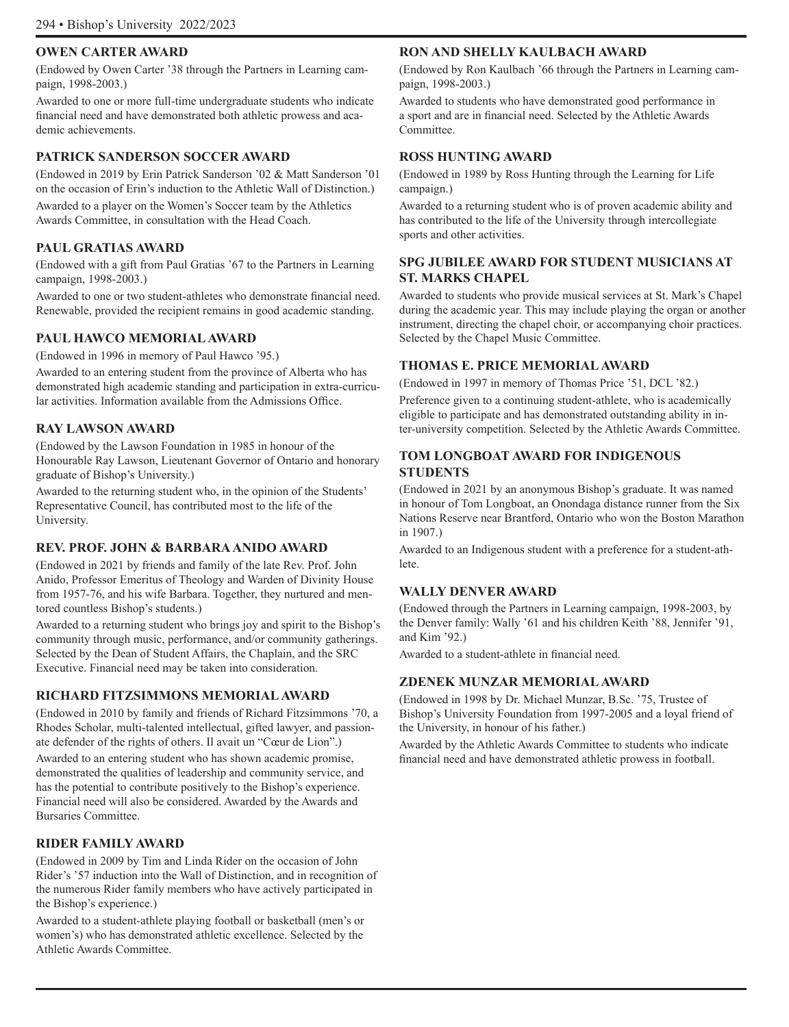### **OWEN CARTER AWARD**

(Endowed by Owen Carter '38 through the Partners in Learning campaign, 1998-2003.)

Awarded to one or more full-time undergraduate students who indicate financial need and have demonstrated both athletic prowess and academic achievements.

### **PATRICK SANDERSON SOCCER AWARD**

(Endowed in 2019 by Erin Patrick Sanderson '02 & Matt Sanderson '01 on the occasion of Erin's induction to the Athletic Wall of Distinction.) Awarded to a player on the Women's Soccer team by the Athletics Awards Committee, in consultation with the Head Coach.

### **PAUL GRATIAS AWARD**

(Endowed with a gift from Paul Gratias '67 to the Partners in Learning campaign, 1998-2003.)

Awarded to one or two student-athletes who demonstrate financial need. Renewable, provided the recipient remains in good academic standing.

### **PAUL HAWCO MEMORIAL AWARD**

(Endowed in 1996 in memory of Paul Hawco '95.)

Awarded to an entering student from the province of Alberta who has demonstrated high academic standing and participation in extra-curricular activities. Information available from the Admissions Office.

### **RAY LAWSON AWARD**

(Endowed by the Lawson Foundation in 1985 in honour of the Honourable Ray Lawson, Lieutenant Governor of Ontario and honorary graduate of Bishop's University.)

Awarded to the returning student who, in the opinion of the Students' Representative Council, has contributed most to the life of the University.

### **REV. PROF. JOHN & BARBARA ANIDO AWARD**

(Endowed in 2021 by friends and family of the late Rev. Prof. John Anido, Professor Emeritus of Theology and Warden of Divinity House from 1957-76, and his wife Barbara. Together, they nurtured and mentored countless Bishop's students.)

Awarded to a returning student who brings joy and spirit to the Bishop's community through music, performance, and/or community gatherings. Selected by the Dean of Student Affairs, the Chaplain, and the SRC Executive. Financial need may be taken into consideration.

### **RICHARD FITZSIMMONS MEMORIAL AWARD**

(Endowed in 2010 by family and friends of Richard Fitzsimmons '70, a Rhodes Scholar, multi-talented intellectual, gifted lawyer, and passionate defender of the rights of others. Il avait un "Cœur de Lion".)

Awarded to an entering student who has shown academic promise, demonstrated the qualities of leadership and community service, and has the potential to contribute positively to the Bishop's experience. Financial need will also be considered. Awarded by the Awards and Bursaries Committee.

### **RIDER FAMILY AWARD**

(Endowed in 2009 by Tim and Linda Rider on the occasion of John Rider's '57 induction into the Wall of Distinction, and in recognition of the numerous Rider family members who have actively participated in the Bishop's experience.)

Awarded to a student-athlete playing football or basketball (men's or women's) who has demonstrated athletic excellence. Selected by the Athletic Awards Committee.

### **RON AND SHELLY KAULBACH AWARD**

(Endowed by Ron Kaulbach '66 through the Partners in Learning campaign, 1998-2003.)

Awarded to students who have demonstrated good performance in a sport and are in financial need. Selected by the Athletic Awards Committee.

### **ROSS HUNTING AWARD**

(Endowed in 1989 by Ross Hunting through the Learning for Life campaign.)

Awarded to a returning student who is of proven academic ability and has contributed to the life of the University through intercollegiate sports and other activities.

### **SPG JUBILEE AWARD FOR STUDENT MUSICIANS AT ST. MARKS CHAPEL**

Awarded to students who provide musical services at St. Mark's Chapel during the academic year. This may include playing the organ or another instrument, directing the chapel choir, or accompanying choir practices. Selected by the Chapel Music Committee.

### **THOMAS E. PRICE MEMORIAL AWARD**

(Endowed in 1997 in memory of Thomas Price '51, DCL '82.)

Preference given to a continuing student-athlete, who is academically eligible to participate and has demonstrated outstanding ability in inter-university competition. Selected by the Athletic Awards Committee.

### **TOM LONGBOAT AWARD FOR INDIGENOUS STUDENTS**

(Endowed in 2021 by an anonymous Bishop's graduate. It was named in honour of Tom Longboat, an Onondaga distance runner from the Six Nations Reserve near Brantford, Ontario who won the Boston Marathon in 1907.)

Awarded to an Indigenous student with a preference for a student-athlete.

### **WALLY DENVER AWARD**

(Endowed through the Partners in Learning campaign, 1998-2003, by the Denver family: Wally '61 and his children Keith '88, Jennifer '91, and Kim '92.)

Awarded to a student-athlete in financial need.

### **ZDENEK MUNZAR MEMORIAL AWARD**

(Endowed in 1998 by Dr. Michael Munzar, B.Sc. '75, Trustee of Bishop's University Foundation from 1997-2005 and a loyal friend of the University, in honour of his father.)

Awarded by the Athletic Awards Committee to students who indicate financial need and have demonstrated athletic prowess in football.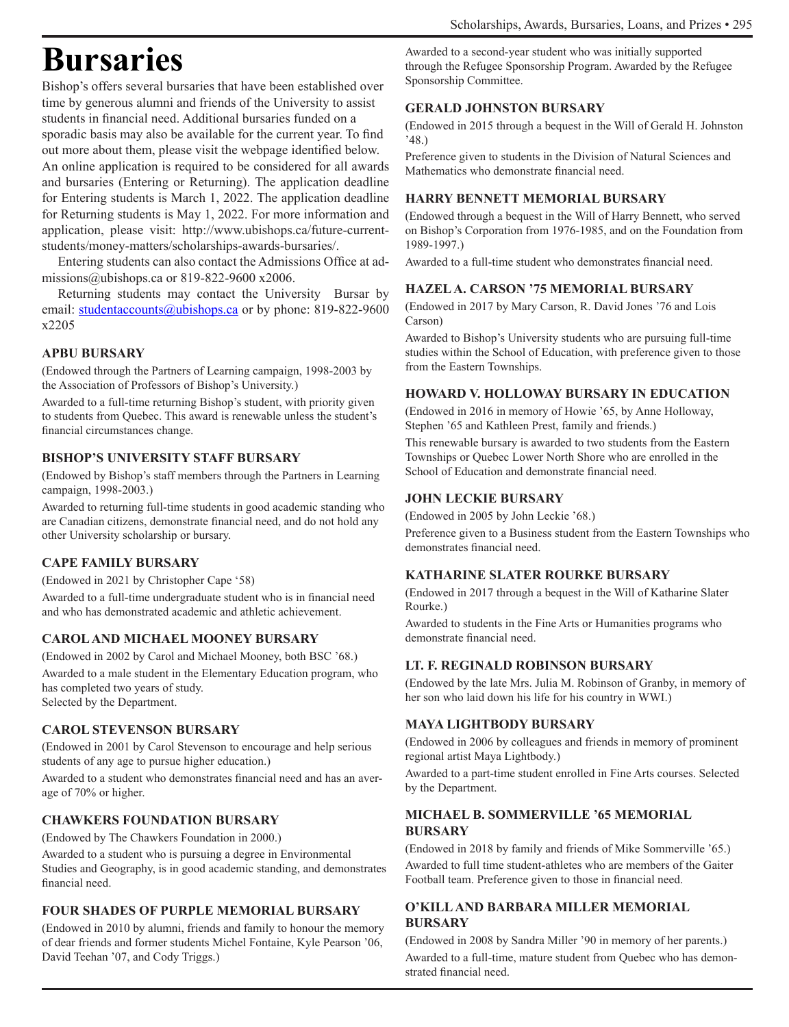# **Bursaries**

Bishop's offers several bursaries that have been established over time by generous alumni and friends of the University to assist students in financial need. Additional bursaries funded on a sporadic basis may also be available for the current year. To find out more about them, please visit the webpage identified below. An online application is required to be considered for all awards and bursaries (Entering or Returning). The application deadline for Entering students is March 1, 2022. The application deadline for Returning students is May 1, 2022. For more information and application, please visit: http://www.ubishops.ca/future-currentstudents/money-matters/scholarships-awards-bursaries/.

Entering students can also contact the Admissions Office at admissions@ubishops.ca or 819-822-9600 x2006.

Returning students may contact the University Bursar by email: studentaccounts@ubishops.ca or by phone: 819-822-9600 x2205

### **APBU BURSARY**

(Endowed through the Partners of Learning campaign, 1998-2003 by the Association of Professors of Bishop's University.)

Awarded to a full-time returning Bishop's student, with priority given to students from Quebec. This award is renewable unless the student's financial circumstances change.

### **BISHOP'S UNIVERSITY STAFF BURSARY**

(Endowed by Bishop's staff members through the Partners in Learning campaign, 1998-2003.)

Awarded to returning full-time students in good academic standing who are Canadian citizens, demonstrate financial need, and do not hold any other University scholarship or bursary.

### **CAPE FAMILY BURSARY**

(Endowed in 2021 by Christopher Cape '58)

Awarded to a full-time undergraduate student who is in financial need and who has demonstrated academic and athletic achievement.

### **CAROL AND MICHAEL MOONEY BURSARY**

(Endowed in 2002 by Carol and Michael Mooney, both BSC '68.) Awarded to a male student in the Elementary Education program, who has completed two years of study. Selected by the Department.

### **CAROL STEVENSON BURSARY**

(Endowed in 2001 by Carol Stevenson to encourage and help serious students of any age to pursue higher education.)

Awarded to a student who demonstrates financial need and has an average of 70% or higher.

### **CHAWKERS FOUNDATION BURSARY**

(Endowed by The Chawkers Foundation in 2000.)

Awarded to a student who is pursuing a degree in Environmental Studies and Geography, is in good academic standing, and demonstrates financial need.

### **FOUR SHADES OF PURPLE MEMORIAL BURSARY**

(Endowed in 2010 by alumni, friends and family to honour the memory of dear friends and former students Michel Fontaine, Kyle Pearson '06, David Teehan '07, and Cody Triggs.)

Awarded to a second-year student who was initially supported through the Refugee Sponsorship Program. Awarded by the Refugee Sponsorship Committee.

### **GERALD JOHNSTON BURSARY**

(Endowed in 2015 through a bequest in the Will of Gerald H. Johnston '48.)

Preference given to students in the Division of Natural Sciences and Mathematics who demonstrate financial need.

### **HARRY BENNETT MEMORIAL BURSARY**

(Endowed through a bequest in the Will of Harry Bennett, who served on Bishop's Corporation from 1976-1985, and on the Foundation from 1989-1997.)

Awarded to a full-time student who demonstrates financial need.

### **HAZEL A. CARSON '75 MEMORIAL BURSARY**

(Endowed in 2017 by Mary Carson, R. David Jones '76 and Lois Carson)

Awarded to Bishop's University students who are pursuing full-time studies within the School of Education, with preference given to those from the Eastern Townships.

### **HOWARD V. HOLLOWAY BURSARY IN EDUCATION**

(Endowed in 2016 in memory of Howie '65, by Anne Holloway, Stephen '65 and Kathleen Prest, family and friends.)

This renewable bursary is awarded to two students from the Eastern Townships or Quebec Lower North Shore who are enrolled in the School of Education and demonstrate financial need.

### **JOHN LECKIE BURSARY**

(Endowed in 2005 by John Leckie '68.)

Preference given to a Business student from the Eastern Townships who demonstrates financial need.

### **KATHARINE SLATER ROURKE BURSARY**

(Endowed in 2017 through a bequest in the Will of Katharine Slater Rourke.)

Awarded to students in the Fine Arts or Humanities programs who demonstrate financial need.

### **LT. F. REGINALD ROBINSON BURSARY**

(Endowed by the late Mrs. Julia M. Robinson of Granby, in memory of her son who laid down his life for his country in WWI.)

### **MAYA LIGHTBODY BURSARY**

(Endowed in 2006 by colleagues and friends in memory of prominent regional artist Maya Lightbody.)

Awarded to a part-time student enrolled in Fine Arts courses. Selected by the Department.

### **MICHAEL B. SOMMERVILLE '65 MEMORIAL BURSARY**

(Endowed in 2018 by family and friends of Mike Sommerville '65.) Awarded to full time student-athletes who are members of the Gaiter Football team. Preference given to those in financial need.

### **O'KILL AND BARBARA MILLER MEMORIAL BURSARY**

(Endowed in 2008 by Sandra Miller '90 in memory of her parents.) Awarded to a full-time, mature student from Quebec who has demonstrated financial need.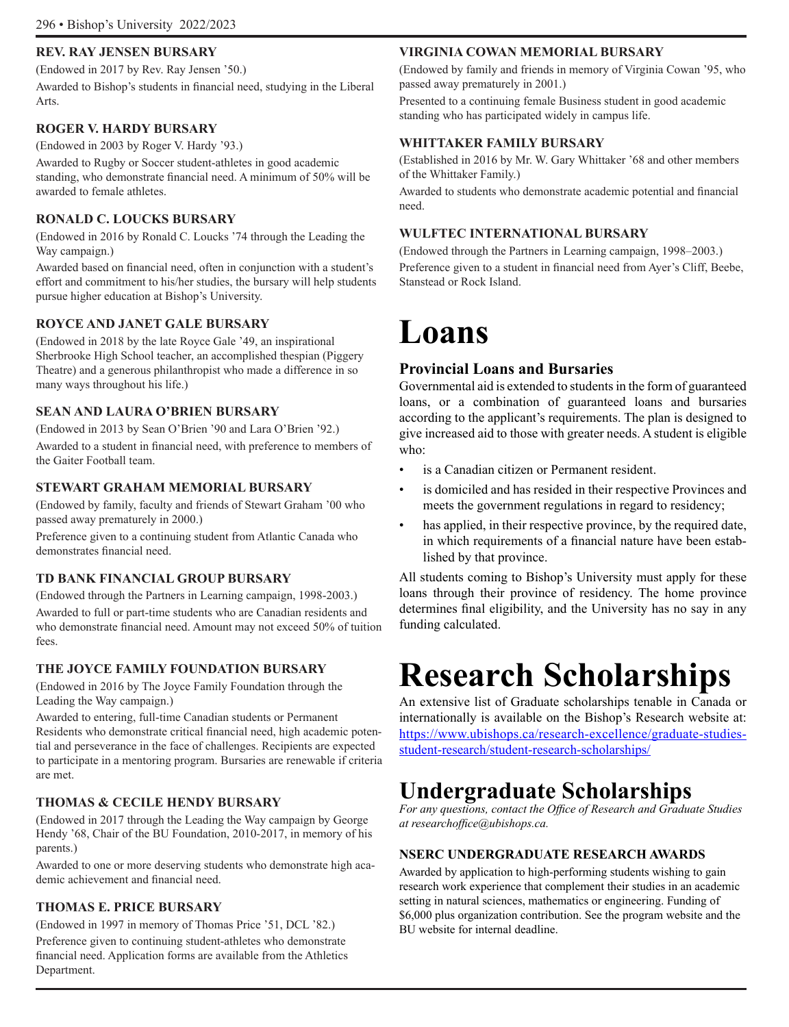### **REV. RAY JENSEN BURSARY**

(Endowed in 2017 by Rev. Ray Jensen '50.)

Awarded to Bishop's students in financial need, studying in the Liberal Arts.

### **ROGER V. HARDY BURSARY**

(Endowed in 2003 by Roger V. Hardy '93.)

Awarded to Rugby or Soccer student-athletes in good academic standing, who demonstrate financial need. A minimum of 50% will be awarded to female athletes.

### **RONALD C. LOUCKS BURSARY**

(Endowed in 2016 by Ronald C. Loucks '74 through the Leading the Way campaign.)

Awarded based on financial need, often in conjunction with a student's effort and commitment to his/her studies, the bursary will help students pursue higher education at Bishop's University.

### **ROYCE AND JANET GALE BURSARY**

(Endowed in 2018 by the late Royce Gale '49, an inspirational Sherbrooke High School teacher, an accomplished thespian (Piggery Theatre) and a generous philanthropist who made a difference in so many ways throughout his life.)

### **SEAN AND LAURA O'BRIEN BURSARY**

(Endowed in 2013 by Sean O'Brien '90 and Lara O'Brien '92.)

Awarded to a student in financial need, with preference to members of the Gaiter Football team.

### **STEWART GRAHAM MEMORIAL BURSARY**

(Endowed by family, faculty and friends of Stewart Graham '00 who passed away prematurely in 2000.)

Preference given to a continuing student from Atlantic Canada who demonstrates financial need.

### **TD BANK FINANCIAL GROUP BURSARY**

(Endowed through the Partners in Learning campaign, 1998-2003.) Awarded to full or part-time students who are Canadian residents and who demonstrate financial need. Amount may not exceed 50% of tuition fees.

### **THE JOYCE FAMILY FOUNDATION BURSARY**

(Endowed in 2016 by The Joyce Family Foundation through the Leading the Way campaign.)

Awarded to entering, full-time Canadian students or Permanent Residents who demonstrate critical financial need, high academic potential and perseverance in the face of challenges. Recipients are expected to participate in a mentoring program. Bursaries are renewable if criteria are met.

### **THOMAS & CECILE HENDY BURSARY**

(Endowed in 2017 through the Leading the Way campaign by George Hendy '68, Chair of the BU Foundation, 2010-2017, in memory of his parents.)

Awarded to one or more deserving students who demonstrate high academic achievement and financial need.

### **THOMAS E. PRICE BURSARY**

(Endowed in 1997 in memory of Thomas Price '51, DCL '82.)

Preference given to continuing student-athletes who demonstrate financial need. Application forms are available from the Athletics Department.

### **VIRGINIA COWAN MEMORIAL BURSARY**

(Endowed by family and friends in memory of Virginia Cowan '95, who passed away prematurely in 2001.)

Presented to a continuing female Business student in good academic standing who has participated widely in campus life.

### **WHITTAKER FAMILY BURSARY**

(Established in 2016 by Mr. W. Gary Whittaker '68 and other members of the Whittaker Family.)

Awarded to students who demonstrate academic potential and financial need.

### **WULFTEC INTERNATIONAL BURSARY**

(Endowed through the Partners in Learning campaign, 1998–2003.) Preference given to a student in financial need from Ayer's Cliff, Beebe, Stanstead or Rock Island.

# **Loans**

### **Provincial Loans and Bursaries**

Governmental aid is extended to students in the form of guaranteed loans, or a combination of guaranteed loans and bursaries according to the applicant's requirements. The plan is designed to give increased aid to those with greater needs. A student is eligible who:

- is a Canadian citizen or Permanent resident.
- is domiciled and has resided in their respective Provinces and meets the government regulations in regard to residency;
- has applied, in their respective province, by the required date, in which requirements of a financial nature have been established by that province.

All students coming to Bishop's University must apply for these loans through their province of residency. The home province determines final eligibility, and the University has no say in any funding calculated.

# **Research Scholarships**

An extensive list of Graduate scholarships tenable in Canada or internationally is available on the Bishop's Research website at: https://www.ubishops.ca/research-excellence/graduate-studiesstudent-research/student-research-scholarships/

# **Undergraduate Scholarships**

*For any questions, contact the Office of Research and Graduate Studies at researchoffice@ubishops.ca.*

### **NSERC UNDERGRADUATE RESEARCH AWARDS**

Awarded by application to high-performing students wishing to gain research work experience that complement their studies in an academic setting in natural sciences, mathematics or engineering. Funding of \$6,000 plus organization contribution. See the program website and the BU website for internal deadline.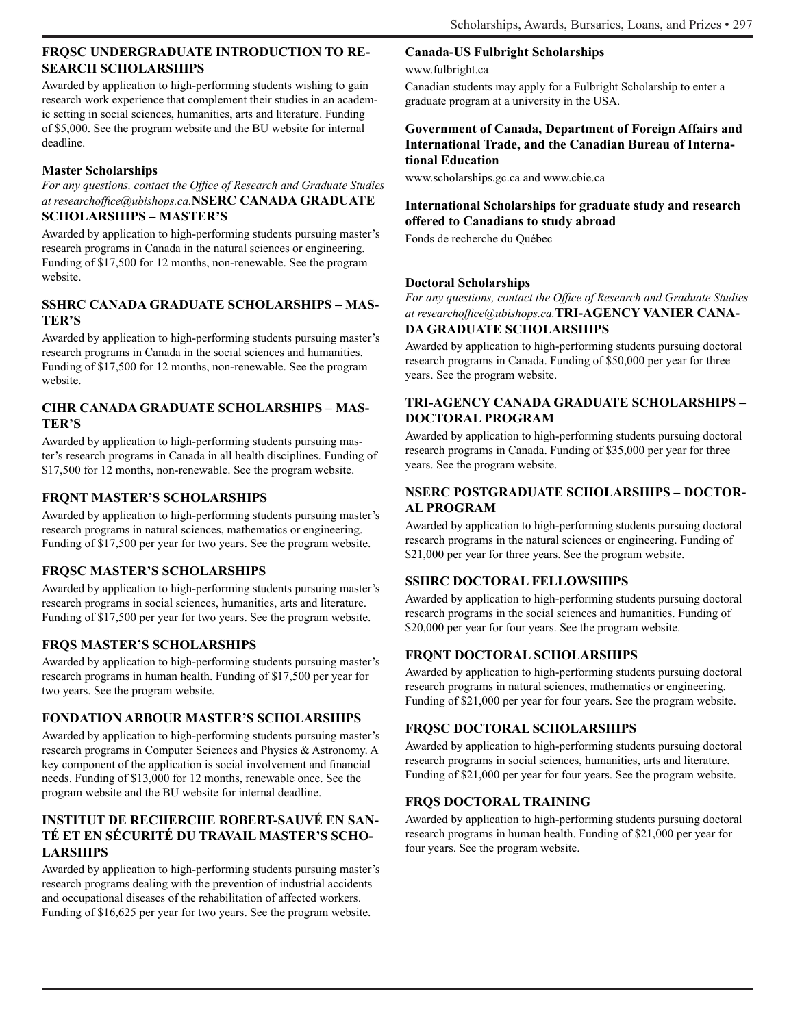### **FRQSC UNDERGRADUATE INTRODUCTION TO RE-SEARCH SCHOLARSHIPS**

Awarded by application to high-performing students wishing to gain research work experience that complement their studies in an academic setting in social sciences, humanities, arts and literature. Funding of \$5,000. See the program website and the BU website for internal deadline.

### **Master Scholarships**

*For any questions, contact the Office of Research and Graduate Studies at researchoffice@ubishops.ca.***NSERC CANADA GRADUATE SCHOLARSHIPS – MASTER'S**

Awarded by application to high-performing students pursuing master's research programs in Canada in the natural sciences or engineering. Funding of \$17,500 for 12 months, non-renewable. See the program website.

### **SSHRC CANADA GRADUATE SCHOLARSHIPS – MAS-TER'S**

Awarded by application to high-performing students pursuing master's research programs in Canada in the social sciences and humanities. Funding of \$17,500 for 12 months, non-renewable. See the program website.

### **CIHR CANADA GRADUATE SCHOLARSHIPS – MAS-TER'S**

Awarded by application to high-performing students pursuing master's research programs in Canada in all health disciplines. Funding of \$17,500 for 12 months, non-renewable. See the program website.

### **FRQNT MASTER'S SCHOLARSHIPS**

Awarded by application to high-performing students pursuing master's research programs in natural sciences, mathematics or engineering. Funding of \$17,500 per year for two years. See the program website.

### **FRQSC MASTER'S SCHOLARSHIPS**

Awarded by application to high-performing students pursuing master's research programs in social sciences, humanities, arts and literature. Funding of \$17,500 per year for two years. See the program website.

### **FRQS MASTER'S SCHOLARSHIPS**

Awarded by application to high-performing students pursuing master's research programs in human health. Funding of \$17,500 per year for two years. See the program website.

### **FONDATION ARBOUR MASTER'S SCHOLARSHIPS**

Awarded by application to high-performing students pursuing master's research programs in Computer Sciences and Physics & Astronomy. A key component of the application is social involvement and financial needs. Funding of \$13,000 for 12 months, renewable once. See the program website and the BU website for internal deadline.

### **INSTITUT DE RECHERCHE ROBERT-SAUVÉ EN SAN-TÉ ET EN SÉCURITÉ DU TRAVAIL MASTER'S SCHO-LARSHIPS**

Awarded by application to high-performing students pursuing master's research programs dealing with the prevention of industrial accidents and occupational diseases of the rehabilitation of affected workers. Funding of \$16,625 per year for two years. See the program website.

### **Canada-US Fulbright Scholarships**

www.fulbright.ca

Canadian students may apply for a Fulbright Scholarship to enter a graduate program at a university in the USA.

### **Government of Canada, Department of Foreign Affairs and International Trade, and the Canadian Bureau of International Education**

www.scholarships.gc.ca and www.cbie.ca

### **International Scholarships for graduate study and research offered to Canadians to study abroad**

Fonds de recherche du Québec

### **Doctoral Scholarships**

*For any questions, contact the Office of Research and Graduate Studies at researchoffice@ubishops.ca.***TRI-AGENCY VANIER CANA-**

### **DA GRADUATE SCHOLARSHIPS**

Awarded by application to high-performing students pursuing doctoral research programs in Canada. Funding of \$50,000 per year for three years. See the program website.

### **TRI-AGENCY CANADA GRADUATE SCHOLARSHIPS – DOCTORAL PROGRAM**

Awarded by application to high-performing students pursuing doctoral research programs in Canada. Funding of \$35,000 per year for three years. See the program website.

### **NSERC POSTGRADUATE SCHOLARSHIPS – DOCTOR-AL PROGRAM**

Awarded by application to high-performing students pursuing doctoral research programs in the natural sciences or engineering. Funding of \$21,000 per year for three years. See the program website.

### **SSHRC DOCTORAL FELLOWSHIPS**

Awarded by application to high-performing students pursuing doctoral research programs in the social sciences and humanities. Funding of \$20,000 per year for four years. See the program website.

### **FRQNT DOCTORAL SCHOLARSHIPS**

Awarded by application to high-performing students pursuing doctoral research programs in natural sciences, mathematics or engineering. Funding of \$21,000 per year for four years. See the program website.

### **FRQSC DOCTORAL SCHOLARSHIPS**

Awarded by application to high-performing students pursuing doctoral research programs in social sciences, humanities, arts and literature. Funding of \$21,000 per year for four years. See the program website.

### **FRQS DOCTORAL TRAINING**

Awarded by application to high-performing students pursuing doctoral research programs in human health. Funding of \$21,000 per year for four years. See the program website.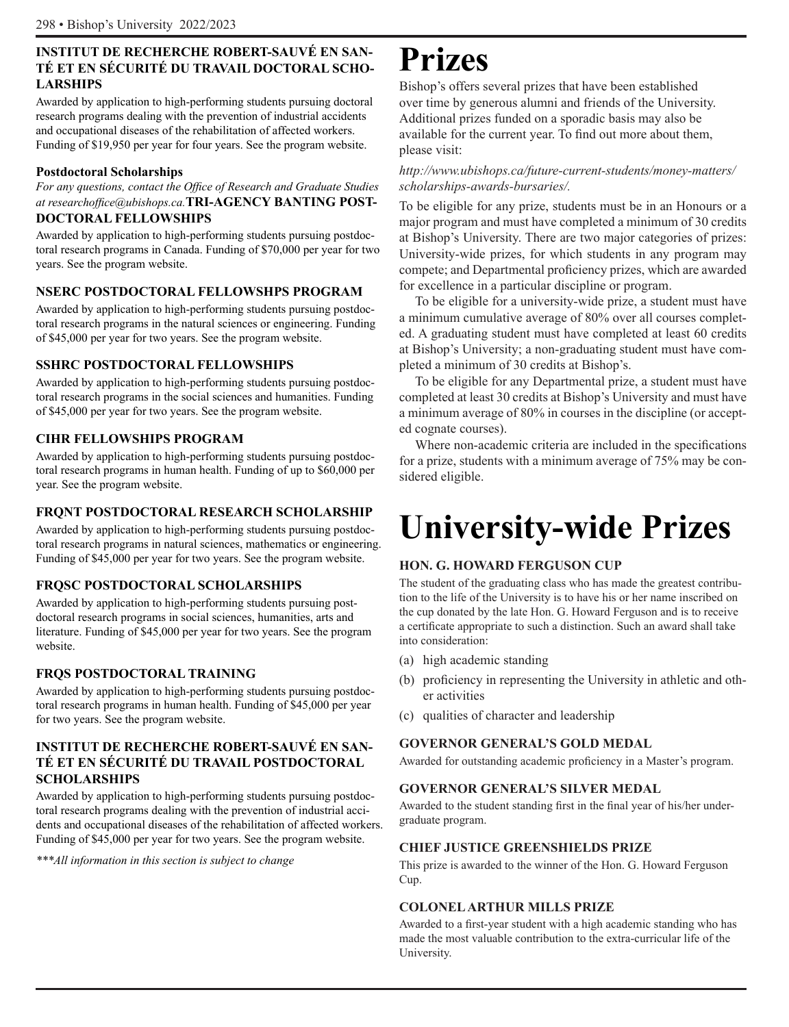### **INSTITUT DE RECHERCHE ROBERT-SAUVÉ EN SAN-TÉ ET EN SÉCURITÉ DU TRAVAIL DOCTORAL SCHO-LARSHIPS**

Awarded by application to high-performing students pursuing doctoral research programs dealing with the prevention of industrial accidents and occupational diseases of the rehabilitation of affected workers. Funding of \$19,950 per year for four years. See the program website.

### **Postdoctoral Scholarships**

*For any questions, contact the Office of Research and Graduate Studies at researchoffice@ubishops.ca.***TRI-AGENCY BANTING POST-DOCTORAL FELLOWSHIPS** 

Awarded by application to high-performing students pursuing postdoctoral research programs in Canada. Funding of \$70,000 per year for two years. See the program website.

### **NSERC POSTDOCTORAL FELLOWSHPS PROGRAM**

Awarded by application to high-performing students pursuing postdoctoral research programs in the natural sciences or engineering. Funding of \$45,000 per year for two years. See the program website.

### **SSHRC POSTDOCTORAL FELLOWSHIPS**

Awarded by application to high-performing students pursuing postdoctoral research programs in the social sciences and humanities. Funding of \$45,000 per year for two years. See the program website.

### **CIHR FELLOWSHIPS PROGRAM**

Awarded by application to high-performing students pursuing postdoctoral research programs in human health. Funding of up to \$60,000 per year. See the program website.

### **FRQNT POSTDOCTORAL RESEARCH SCHOLARSHIP**

Awarded by application to high-performing students pursuing postdoctoral research programs in natural sciences, mathematics or engineering. Funding of \$45,000 per year for two years. See the program website.

### **FRQSC POSTDOCTORAL SCHOLARSHIPS**

Awarded by application to high-performing students pursuing postdoctoral research programs in social sciences, humanities, arts and literature. Funding of \$45,000 per year for two years. See the program website.

### **FRQS POSTDOCTORAL TRAINING**

Awarded by application to high-performing students pursuing postdoctoral research programs in human health. Funding of \$45,000 per year for two years. See the program website.

### **INSTITUT DE RECHERCHE ROBERT-SAUVÉ EN SAN-TÉ ET EN SÉCURITÉ DU TRAVAIL POSTDOCTORAL SCHOLARSHIPS**

Awarded by application to high-performing students pursuing postdoctoral research programs dealing with the prevention of industrial accidents and occupational diseases of the rehabilitation of affected workers. Funding of \$45,000 per year for two years. See the program website.

*\*\*\*All information in this section is subject to change* 

# **Prizes**

Bishop's offers several prizes that have been established over time by generous alumni and friends of the University. Additional prizes funded on a sporadic basis may also be available for the current year. To find out more about them, please visit:

### *http://www.ubishops.ca/future-current-students/money-matters/ scholarships-awards-bursaries/.*

To be eligible for any prize, students must be in an Honours or a major program and must have completed a minimum of 30 credits at Bishop's University. There are two major categories of prizes: University-wide prizes, for which students in any program may compete; and Departmental proficiency prizes, which are awarded for excellence in a particular discipline or program.

To be eligible for a university-wide prize, a student must have a minimum cumulative average of 80% over all courses completed. A graduating student must have completed at least 60 credits at Bishop's University; a non-graduating student must have completed a minimum of 30 credits at Bishop's.

To be eligible for any Departmental prize, a student must have completed at least 30 credits at Bishop's University and must have a minimum average of 80% in courses in the discipline (or accepted cognate courses).

Where non-academic criteria are included in the specifications for a prize, students with a minimum average of 75% may be considered eligible.

# **University-wide Prizes**

### **HON. G. HOWARD FERGUSON CUP**

The student of the graduating class who has made the greatest contribution to the life of the University is to have his or her name inscribed on the cup donated by the late Hon. G. Howard Ferguson and is to receive a certificate appropriate to such a distinction. Such an award shall take into consideration:

- (a) high academic standing
- (b) proficiency in representing the University in athletic and other activities
- (c) qualities of character and leadership

### **GOVERNOR GENERAL'S GOLD MEDAL**

Awarded for outstanding academic proficiency in a Master's program.

### **GOVERNOR GENERAL'S SILVER MEDAL**

Awarded to the student standing first in the final year of his/her undergraduate program.

### **CHIEF JUSTICE GREENSHIELDS PRIZE**

This prize is awarded to the winner of the Hon. G. Howard Ferguson Cup.

### **COLONEL ARTHUR MILLS PRIZE**

Awarded to a first-year student with a high academic standing who has made the most valuable contribution to the extra-curricular life of the University.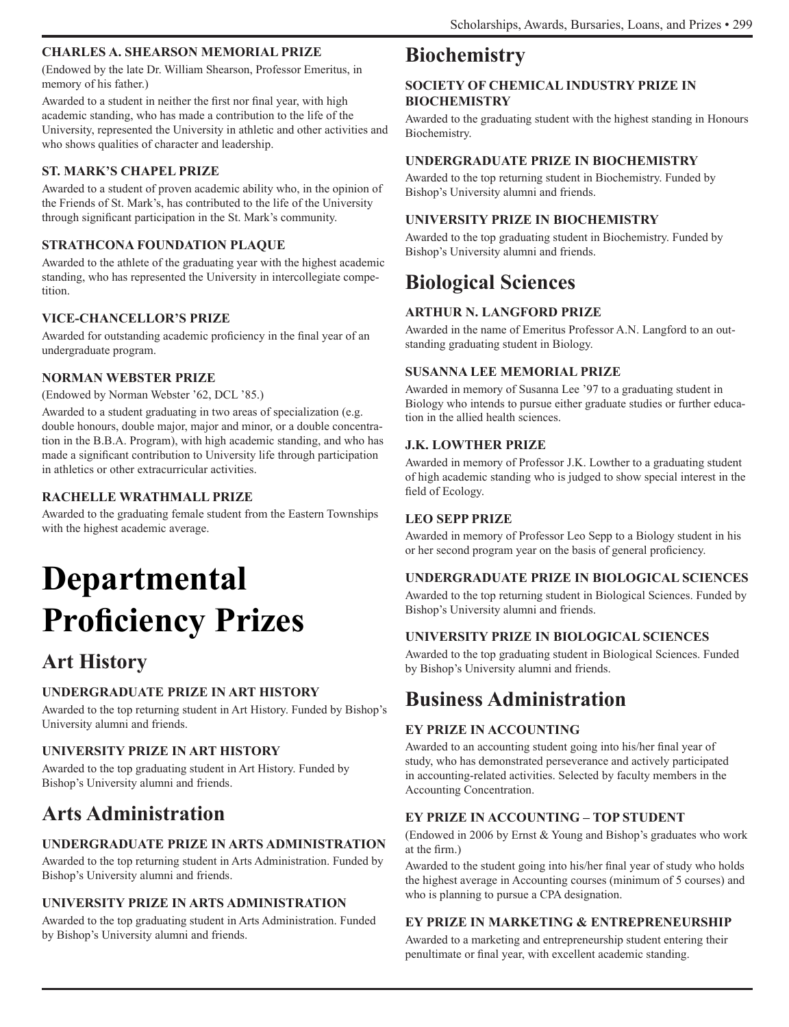### **CHARLES A. SHEARSON MEMORIAL PRIZE**

(Endowed by the late Dr. William Shearson, Professor Emeritus, in memory of his father.)

Awarded to a student in neither the first nor final year, with high academic standing, who has made a contribution to the life of the University, represented the University in athletic and other activities and who shows qualities of character and leadership.

### **ST. MARK'S CHAPEL PRIZE**

Awarded to a student of proven academic ability who, in the opinion of the Friends of St. Mark's, has contributed to the life of the University through significant participation in the St. Mark's community.

### **STRATHCONA FOUNDATION PLAQUE**

Awarded to the athlete of the graduating year with the highest academic standing, who has represented the University in intercollegiate competition.

### **VICE-CHANCELLOR'S PRIZE**

Awarded for outstanding academic proficiency in the final year of an undergraduate program.

### **NORMAN WEBSTER PRIZE**

(Endowed by Norman Webster '62, DCL '85.)

Awarded to a student graduating in two areas of specialization (e.g. double honours, double major, major and minor, or a double concentration in the B.B.A. Program), with high academic standing, and who has made a significant contribution to University life through participation in athletics or other extracurricular activities.

### **RACHELLE WRATHMALL PRIZE**

Awarded to the graduating female student from the Eastern Townships with the highest academic average.

# **Departmental Proficiency Prizes**

# **Art History**

### **UNDERGRADUATE PRIZE IN ART HISTORY**

Awarded to the top returning student in Art History. Funded by Bishop's University alumni and friends.

### **UNIVERSITY PRIZE IN ART HISTORY**

Awarded to the top graduating student in Art History. Funded by Bishop's University alumni and friends.

# **Arts Administration**

### **UNDERGRADUATE PRIZE IN ARTS ADMINISTRATION**

Awarded to the top returning student in Arts Administration. Funded by Bishop's University alumni and friends.

### **UNIVERSITY PRIZE IN ARTS ADMINISTRATION**

Awarded to the top graduating student in Arts Administration. Funded by Bishop's University alumni and friends.

# **Biochemistry**

### **SOCIETY OF CHEMICAL INDUSTRY PRIZE IN BIOCHEMISTRY**

Awarded to the graduating student with the highest standing in Honours Biochemistry.

### **UNDERGRADUATE PRIZE IN BIOCHEMISTRY**

Awarded to the top returning student in Biochemistry. Funded by Bishop's University alumni and friends.

### **UNIVERSITY PRIZE IN BIOCHEMISTRY**

Awarded to the top graduating student in Biochemistry. Funded by Bishop's University alumni and friends.

# **Biological Sciences**

### **ARTHUR N. LANGFORD PRIZE**

Awarded in the name of Emeritus Professor A.N. Langford to an outstanding graduating student in Biology.

### **SUSANNA LEE MEMORIAL PRIZE**

Awarded in memory of Susanna Lee '97 to a graduating student in Biology who intends to pursue either graduate studies or further education in the allied health sciences.

### **J.K. LOWTHER PRIZE**

Awarded in memory of Professor J.K. Lowther to a graduating student of high academic standing who is judged to show special interest in the field of Ecology.

### **LEO SEPP PRIZE**

Awarded in memory of Professor Leo Sepp to a Biology student in his or her second program year on the basis of general proficiency.

### **UNDERGRADUATE PRIZE IN BIOLOGICAL SCIENCES**

Awarded to the top returning student in Biological Sciences. Funded by Bishop's University alumni and friends.

### **UNIVERSITY PRIZE IN BIOLOGICAL SCIENCES**

Awarded to the top graduating student in Biological Sciences. Funded by Bishop's University alumni and friends.

## **Business Administration**

### **EY PRIZE IN ACCOUNTING**

Awarded to an accounting student going into his/her final year of study, who has demonstrated perseverance and actively participated in accounting-related activities. Selected by faculty members in the Accounting Concentration.

### **EY PRIZE IN ACCOUNTING – TOP STUDENT**

(Endowed in 2006 by Ernst & Young and Bishop's graduates who work at the firm.)

Awarded to the student going into his/her final year of study who holds the highest average in Accounting courses (minimum of 5 courses) and who is planning to pursue a CPA designation.

### **EY PRIZE IN MARKETING & ENTREPRENEURSHIP**

Awarded to a marketing and entrepreneurship student entering their penultimate or final year, with excellent academic standing.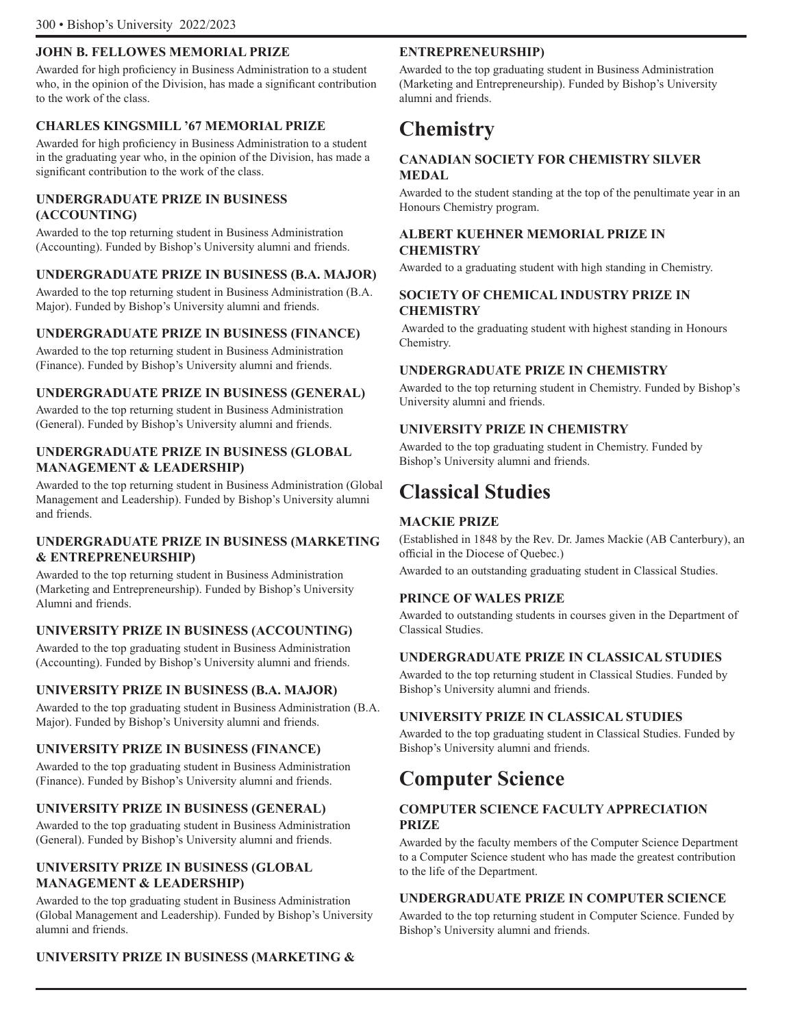### **JOHN B. FELLOWES MEMORIAL PRIZE**

Awarded for high proficiency in Business Administration to a student who, in the opinion of the Division, has made a significant contribution to the work of the class.

### **CHARLES KINGSMILL '67 MEMORIAL PRIZE**

Awarded for high proficiency in Business Administration to a student in the graduating year who, in the opinion of the Division, has made a significant contribution to the work of the class.

### **UNDERGRADUATE PRIZE IN BUSINESS (ACCOUNTING)**

Awarded to the top returning student in Business Administration (Accounting). Funded by Bishop's University alumni and friends.

### **UNDERGRADUATE PRIZE IN BUSINESS (B.A. MAJOR)**

Awarded to the top returning student in Business Administration (B.A. Major). Funded by Bishop's University alumni and friends.

### **UNDERGRADUATE PRIZE IN BUSINESS (FINANCE)**

Awarded to the top returning student in Business Administration (Finance). Funded by Bishop's University alumni and friends.

### **UNDERGRADUATE PRIZE IN BUSINESS (GENERAL)**

Awarded to the top returning student in Business Administration (General). Funded by Bishop's University alumni and friends.

### **UNDERGRADUATE PRIZE IN BUSINESS (GLOBAL MANAGEMENT & LEADERSHIP)**

Awarded to the top returning student in Business Administration (Global Management and Leadership). Funded by Bishop's University alumni and friends.

### **UNDERGRADUATE PRIZE IN BUSINESS (MARKETING & ENTREPRENEURSHIP)**

Awarded to the top returning student in Business Administration (Marketing and Entrepreneurship). Funded by Bishop's University Alumni and friends.

### **UNIVERSITY PRIZE IN BUSINESS (ACCOUNTING)**

Awarded to the top graduating student in Business Administration (Accounting). Funded by Bishop's University alumni and friends.

### **UNIVERSITY PRIZE IN BUSINESS (B.A. MAJOR)**

Awarded to the top graduating student in Business Administration (B.A. Major). Funded by Bishop's University alumni and friends.

### **UNIVERSITY PRIZE IN BUSINESS (FINANCE)**

Awarded to the top graduating student in Business Administration (Finance). Funded by Bishop's University alumni and friends.

### **UNIVERSITY PRIZE IN BUSINESS (GENERAL)**

Awarded to the top graduating student in Business Administration (General). Funded by Bishop's University alumni and friends.

### **UNIVERSITY PRIZE IN BUSINESS (GLOBAL MANAGEMENT & LEADERSHIP)**

Awarded to the top graduating student in Business Administration (Global Management and Leadership). Funded by Bishop's University alumni and friends.

### **PRINCE OF WALES PRIZE**

Awarded to outstanding students in courses given in the Department of Classical Studies.

### **UNDERGRADUATE PRIZE IN CLASSICAL STUDIES**

Awarded to the top returning student in Classical Studies. Funded by

### **UNIVERSITY PRIZE IN CLASSICAL STUDIES**

Awarded to the top graduating student in Classical Studies. Funded by

# **Computer Science**

### **COMPUTER SCIENCE FACULTY APPRECIATION PRIZE**

Awarded by the faculty members of the Computer Science Department to a Computer Science student who has made the greatest contribution to the life of the Department.

### **UNDERGRADUATE PRIZE IN COMPUTER SCIENCE**

Awarded to the top returning student in Computer Science. Funded by Bishop's University alumni and friends.

### **UNIVERSITY PRIZE IN BUSINESS (MARKETING &**

**ENTREPRENEURSHIP)**

Awarded to the top graduating student in Business Administration (Marketing and Entrepreneurship). Funded by Bishop's University alumni and friends.

### **Chemistry**

### **CANADIAN SOCIETY FOR CHEMISTRY SILVER MEDAL**

Awarded to the student standing at the top of the penultimate year in an Honours Chemistry program.

### **ALBERT KUEHNER MEMORIAL PRIZE IN CHEMISTRY**

Awarded to a graduating student with high standing in Chemistry.

### **SOCIETY OF CHEMICAL INDUSTRY PRIZE IN CHEMISTRY**

 Awarded to the graduating student with highest standing in Honours Chemistry.

### **UNDERGRADUATE PRIZE IN CHEMISTRY**

Awarded to the top returning student in Chemistry. Funded by Bishop's University alumni and friends.

### **UNIVERSITY PRIZE IN CHEMISTRY**

Awarded to the top graduating student in Chemistry. Funded by Bishop's University alumni and friends.

## **Classical Studies**

### **MACKIE PRIZE**

(Established in 1848 by the Rev. Dr. James Mackie (AB Canterbury), an official in the Diocese of Quebec.)

Awarded to an outstanding graduating student in Classical Studies.

Bishop's University alumni and friends.

Bishop's University alumni and friends.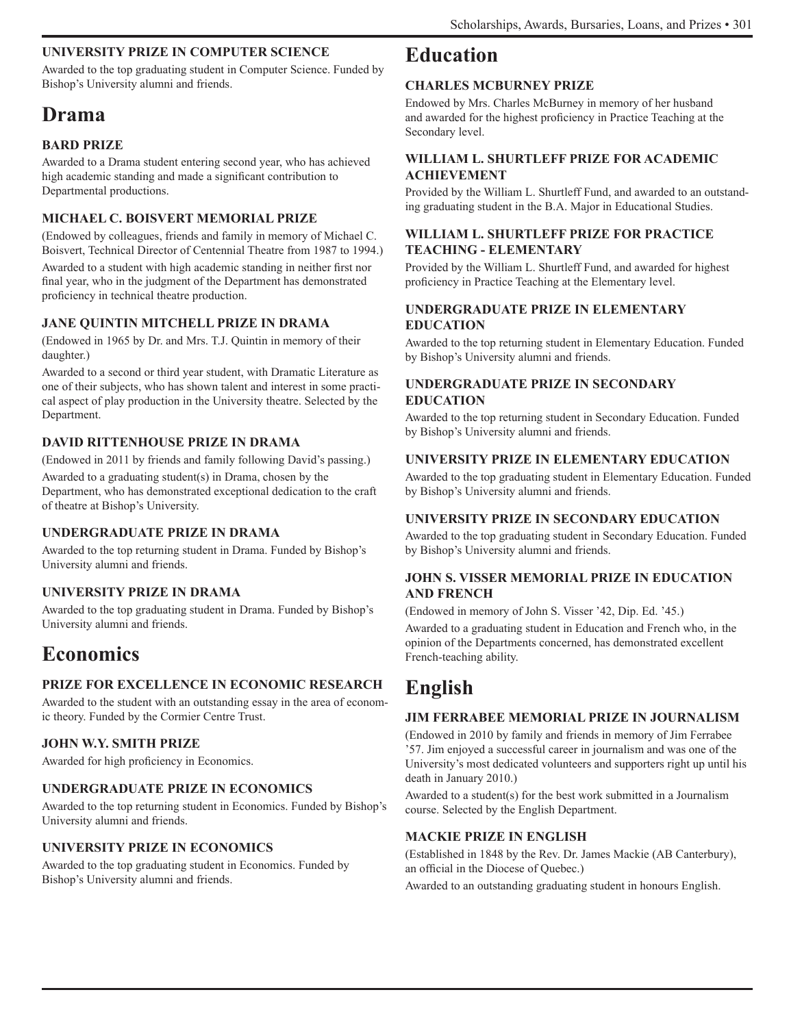### **UNIVERSITY PRIZE IN COMPUTER SCIENCE**

Awarded to the top graduating student in Computer Science. Funded by Bishop's University alumni and friends.

# **Drama**

### **BARD PRIZE**

Awarded to a Drama student entering second year, who has achieved high academic standing and made a significant contribution to Departmental productions.

### **MICHAEL C. BOISVERT MEMORIAL PRIZE**

(Endowed by colleagues, friends and family in memory of Michael C. Boisvert, Technical Director of Centennial Theatre from 1987 to 1994.) Awarded to a student with high academic standing in neither first nor final year, who in the judgment of the Department has demonstrated proficiency in technical theatre production.

### **JANE QUINTIN MITCHELL PRIZE IN DRAMA**

(Endowed in 1965 by Dr. and Mrs. T.J. Quintin in memory of their daughter.)

Awarded to a second or third year student, with Dramatic Literature as one of their subjects, who has shown talent and interest in some practical aspect of play production in the University theatre. Selected by the Department.

### **DAVID RITTENHOUSE PRIZE IN DRAMA**

(Endowed in 2011 by friends and family following David's passing.) Awarded to a graduating student(s) in Drama, chosen by the Department, who has demonstrated exceptional dedication to the craft of theatre at Bishop's University.

### **UNDERGRADUATE PRIZE IN DRAMA**

Awarded to the top returning student in Drama. Funded by Bishop's University alumni and friends.

### **UNIVERSITY PRIZE IN DRAMA**

Awarded to the top graduating student in Drama. Funded by Bishop's University alumni and friends.

# **Economics**

### **PRIZE FOR EXCELLENCE IN ECONOMIC RESEARCH**

Awarded to the student with an outstanding essay in the area of economic theory. Funded by the Cormier Centre Trust.

### **JOHN W.Y. SMITH PRIZE**

Awarded for high proficiency in Economics.

### **UNDERGRADUATE PRIZE IN ECONOMICS**

Awarded to the top returning student in Economics. Funded by Bishop's University alumni and friends.

### **UNIVERSITY PRIZE IN ECONOMICS**

Awarded to the top graduating student in Economics. Funded by Bishop's University alumni and friends.

### **Education**

### **CHARLES MCBURNEY PRIZE**

Endowed by Mrs. Charles McBurney in memory of her husband and awarded for the highest proficiency in Practice Teaching at the Secondary level.

### **WILLIAM L. SHURTLEFF PRIZE FOR ACADEMIC ACHIEVEMENT**

Provided by the William L. Shurtleff Fund, and awarded to an outstanding graduating student in the B.A. Major in Educational Studies.

### **WILLIAM L. SHURTLEFF PRIZE FOR PRACTICE TEACHING - ELEMENTARY**

Provided by the William L. Shurtleff Fund, and awarded for highest proficiency in Practice Teaching at the Elementary level.

### **UNDERGRADUATE PRIZE IN ELEMENTARY EDUCATION**

Awarded to the top returning student in Elementary Education. Funded by Bishop's University alumni and friends.

### **UNDERGRADUATE PRIZE IN SECONDARY EDUCATION**

Awarded to the top returning student in Secondary Education. Funded by Bishop's University alumni and friends.

### **UNIVERSITY PRIZE IN ELEMENTARY EDUCATION**

Awarded to the top graduating student in Elementary Education. Funded by Bishop's University alumni and friends.

### **UNIVERSITY PRIZE IN SECONDARY EDUCATION**

Awarded to the top graduating student in Secondary Education. Funded by Bishop's University alumni and friends.

### **JOHN S. VISSER MEMORIAL PRIZE IN EDUCATION AND FRENCH**

(Endowed in memory of John S. Visser '42, Dip. Ed. '45.) Awarded to a graduating student in Education and French who, in the opinion of the Departments concerned, has demonstrated excellent French-teaching ability.

# **English**

### **JIM FERRABEE MEMORIAL PRIZE IN JOURNALISM**

(Endowed in 2010 by family and friends in memory of Jim Ferrabee '57. Jim enjoyed a successful career in journalism and was one of the University's most dedicated volunteers and supporters right up until his death in January 2010.)

Awarded to a student(s) for the best work submitted in a Journalism course. Selected by the English Department.

### **MACKIE PRIZE IN ENGLISH**

(Established in 1848 by the Rev. Dr. James Mackie (AB Canterbury), an official in the Diocese of Quebec.)

Awarded to an outstanding graduating student in honours English.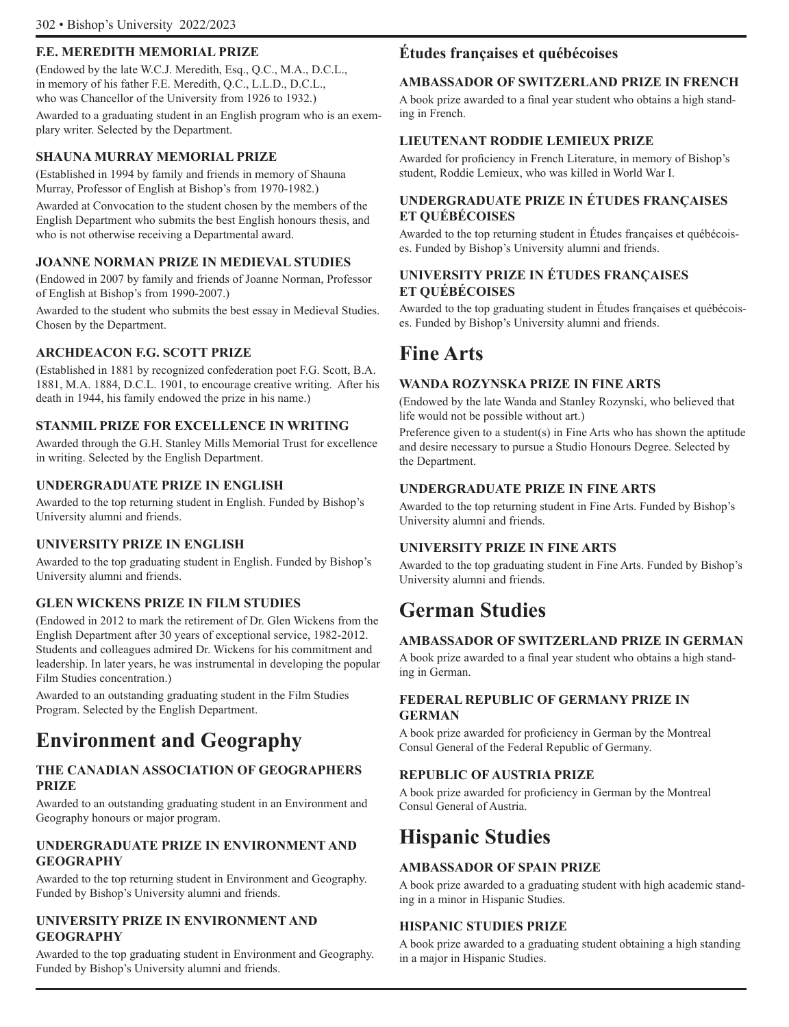### **F.E. MEREDITH MEMORIAL PRIZE**

(Endowed by the late W.C.J. Meredith, Esq., Q.C., M.A., D.C.L., in memory of his father F.E. Meredith, Q.C., L.L.D., D.C.L., who was Chancellor of the University from 1926 to 1932.) Awarded to a graduating student in an English program who is an exemplary writer. Selected by the Department.

### **SHAUNA MURRAY MEMORIAL PRIZE**

(Established in 1994 by family and friends in memory of Shauna Murray, Professor of English at Bishop's from 1970-1982.)

Awarded at Convocation to the student chosen by the members of the English Department who submits the best English honours thesis, and who is not otherwise receiving a Departmental award.

### **JOANNE NORMAN PRIZE IN MEDIEVAL STUDIES**

(Endowed in 2007 by family and friends of Joanne Norman, Professor of English at Bishop's from 1990-2007.)

Awarded to the student who submits the best essay in Medieval Studies. Chosen by the Department.

### **ARCHDEACON F.G. SCOTT PRIZE**

(Established in 1881 by recognized confederation poet F.G. Scott, B.A. 1881, M.A. 1884, D.C.L. 1901, to encourage creative writing. After his death in 1944, his family endowed the prize in his name.)

### **STANMIL PRIZE FOR EXCELLENCE IN WRITING**

Awarded through the G.H. Stanley Mills Memorial Trust for excellence in writing. Selected by the English Department.

### **UNDERGRADUATE PRIZE IN ENGLISH**

Awarded to the top returning student in English. Funded by Bishop's University alumni and friends.

### **UNIVERSITY PRIZE IN ENGLISH**

Awarded to the top graduating student in English. Funded by Bishop's University alumni and friends.

### **GLEN WICKENS PRIZE IN FILM STUDIES**

(Endowed in 2012 to mark the retirement of Dr. Glen Wickens from the English Department after 30 years of exceptional service, 1982-2012. Students and colleagues admired Dr. Wickens for his commitment and leadership. In later years, he was instrumental in developing the popular Film Studies concentration.)

Awarded to an outstanding graduating student in the Film Studies Program. Selected by the English Department.

# **Environment and Geography**

### **THE CANADIAN ASSOCIATION OF GEOGRAPHERS PRIZE**

Awarded to an outstanding graduating student in an Environment and Geography honours or major program.

### **UNDERGRADUATE PRIZE IN ENVIRONMENT AND GEOGRAPHY**

Awarded to the top returning student in Environment and Geography. Funded by Bishop's University alumni and friends.

### **UNIVERSITY PRIZE IN ENVIRONMENT AND GEOGRAPHY**

Awarded to the top graduating student in Environment and Geography. Funded by Bishop's University alumni and friends.

### **Études françaises et québécoises**

### **AMBASSADOR OF SWITZERLAND PRIZE IN FRENCH**

A book prize awarded to a final year student who obtains a high standing in French.

### **LIEUTENANT RODDIE LEMIEUX PRIZE**

Awarded for proficiency in French Literature, in memory of Bishop's student, Roddie Lemieux, who was killed in World War I.

### **UNDERGRADUATE PRIZE IN ÉTUDES FRANÇAISES ET QUÉBÉCOISES**

Awarded to the top returning student in Études françaises et québécoises. Funded by Bishop's University alumni and friends.

### **UNIVERSITY PRIZE IN ÉTUDES FRANÇAISES ET QUÉBÉCOISES**

Awarded to the top graduating student in Études françaises et québécoises. Funded by Bishop's University alumni and friends.

### **Fine Arts**

### **WANDA ROZYNSKA PRIZE IN FINE ARTS**

(Endowed by the late Wanda and Stanley Rozynski, who believed that life would not be possible without art.)

Preference given to a student(s) in Fine Arts who has shown the aptitude and desire necessary to pursue a Studio Honours Degree. Selected by the Department.

### **UNDERGRADUATE PRIZE IN FINE ARTS**

Awarded to the top returning student in Fine Arts. Funded by Bishop's University alumni and friends.

### **UNIVERSITY PRIZE IN FINE ARTS**

Awarded to the top graduating student in Fine Arts. Funded by Bishop's University alumni and friends.

## **German Studies**

### **AMBASSADOR OF SWITZERLAND PRIZE IN GERMAN**

A book prize awarded to a final year student who obtains a high standing in German.

### **FEDERAL REPUBLIC OF GERMANY PRIZE IN GERMAN**

A book prize awarded for proficiency in German by the Montreal Consul General of the Federal Republic of Germany.

### **REPUBLIC OF AUSTRIA PRIZE**

A book prize awarded for proficiency in German by the Montreal Consul General of Austria.

# **Hispanic Studies**

### **AMBASSADOR OF SPAIN PRIZE**

A book prize awarded to a graduating student with high academic standing in a minor in Hispanic Studies.

### **HISPANIC STUDIES PRIZE**

A book prize awarded to a graduating student obtaining a high standing in a major in Hispanic Studies.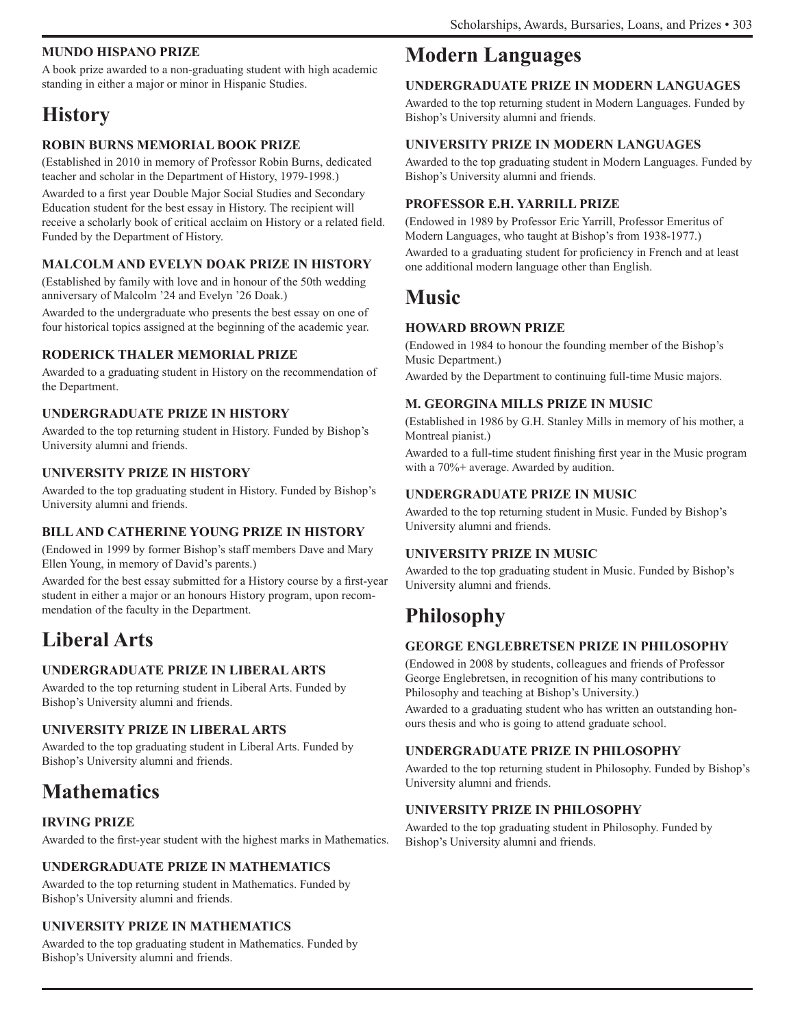### **MUNDO HISPANO PRIZE**

A book prize awarded to a non-graduating student with high academic standing in either a major or minor in Hispanic Studies.

# **History**

### **ROBIN BURNS MEMORIAL BOOK PRIZE**

(Established in 2010 in memory of Professor Robin Burns, dedicated teacher and scholar in the Department of History, 1979-1998.)

Awarded to a first year Double Major Social Studies and Secondary Education student for the best essay in History. The recipient will receive a scholarly book of critical acclaim on History or a related field. Funded by the Department of History.

### **MALCOLM AND EVELYN DOAK PRIZE IN HISTORY**

(Established by family with love and in honour of the 50th wedding anniversary of Malcolm '24 and Evelyn '26 Doak.)

Awarded to the undergraduate who presents the best essay on one of four historical topics assigned at the beginning of the academic year.

### **RODERICK THALER MEMORIAL PRIZE**

Awarded to a graduating student in History on the recommendation of the Department.

### **UNDERGRADUATE PRIZE IN HISTORY**

Awarded to the top returning student in History. Funded by Bishop's University alumni and friends.

### **UNIVERSITY PRIZE IN HISTORY**

Awarded to the top graduating student in History. Funded by Bishop's University alumni and friends.

### **BILL AND CATHERINE YOUNG PRIZE IN HISTORY**

(Endowed in 1999 by former Bishop's staff members Dave and Mary Ellen Young, in memory of David's parents.)

Awarded for the best essay submitted for a History course by a first-year student in either a major or an honours History program, upon recommendation of the faculty in the Department.

# **Liberal Arts**

### **UNDERGRADUATE PRIZE IN LIBERAL ARTS**

Awarded to the top returning student in Liberal Arts. Funded by Bishop's University alumni and friends.

### **UNIVERSITY PRIZE IN LIBERAL ARTS**

Awarded to the top graduating student in Liberal Arts. Funded by Bishop's University alumni and friends.

# **Mathematics**

### **IRVING PRIZE**

Awarded to the first-year student with the highest marks in Mathematics.

### **UNDERGRADUATE PRIZE IN MATHEMATICS**

Awarded to the top returning student in Mathematics. Funded by Bishop's University alumni and friends.

### **UNIVERSITY PRIZE IN MATHEMATICS**

Awarded to the top graduating student in Mathematics. Funded by Bishop's University alumni and friends.

### **Modern Languages**

### **UNDERGRADUATE PRIZE IN MODERN LANGUAGES**

Awarded to the top returning student in Modern Languages. Funded by Bishop's University alumni and friends.

### **UNIVERSITY PRIZE IN MODERN LANGUAGES**

Awarded to the top graduating student in Modern Languages. Funded by Bishop's University alumni and friends.

### **PROFESSOR E.H. YARRILL PRIZE**

(Endowed in 1989 by Professor Eric Yarrill, Professor Emeritus of Modern Languages, who taught at Bishop's from 1938-1977.) Awarded to a graduating student for proficiency in French and at least

one additional modern language other than English.

### **Music**

### **HOWARD BROWN PRIZE**

(Endowed in 1984 to honour the founding member of the Bishop's Music Department.)

Awarded by the Department to continuing full-time Music majors.

### **M. GEORGINA MILLS PRIZE IN MUSIC**

(Established in 1986 by G.H. Stanley Mills in memory of his mother, a Montreal pianist.)

Awarded to a full-time student finishing first year in the Music program with a 70%+ average. Awarded by audition.

### **UNDERGRADUATE PRIZE IN MUSIC**

Awarded to the top returning student in Music. Funded by Bishop's University alumni and friends.

### **UNIVERSITY PRIZE IN MUSIC**

Awarded to the top graduating student in Music. Funded by Bishop's University alumni and friends.

# **Philosophy**

### **GEORGE ENGLEBRETSEN PRIZE IN PHILOSOPHY**

(Endowed in 2008 by students, colleagues and friends of Professor George Englebretsen, in recognition of his many contributions to Philosophy and teaching at Bishop's University.)

Awarded to a graduating student who has written an outstanding honours thesis and who is going to attend graduate school.

### **UNDERGRADUATE PRIZE IN PHILOSOPHY**

Awarded to the top returning student in Philosophy. Funded by Bishop's University alumni and friends.

### **UNIVERSITY PRIZE IN PHILOSOPHY**

Awarded to the top graduating student in Philosophy. Funded by Bishop's University alumni and friends.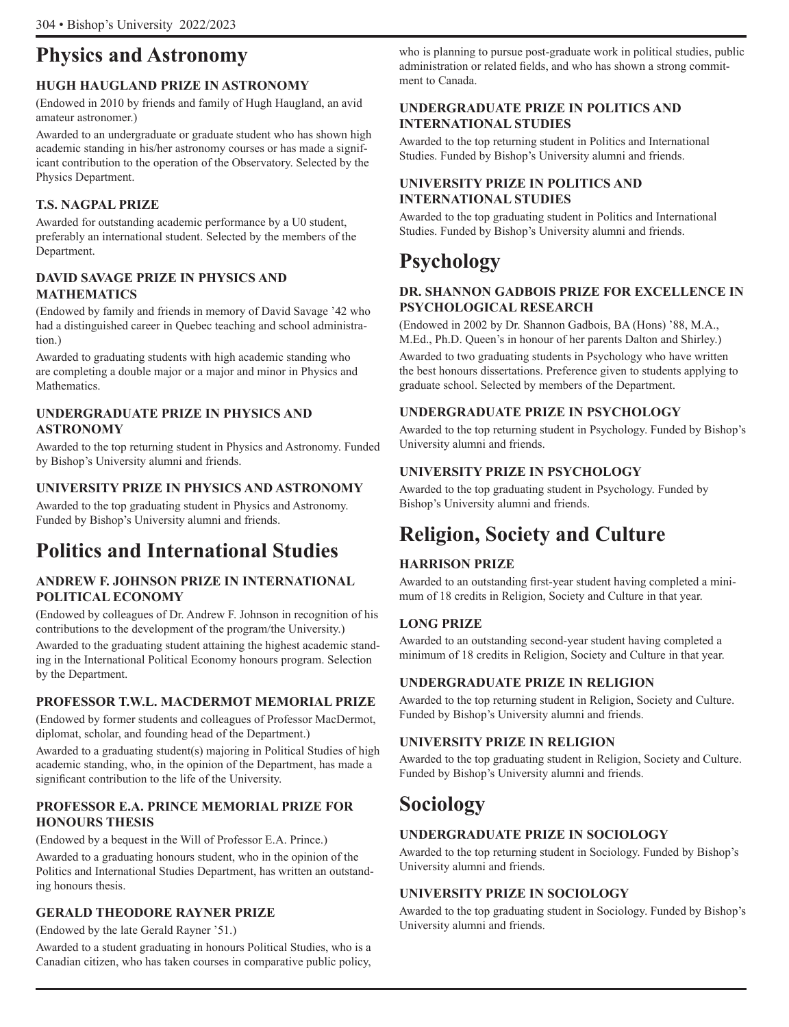# **Physics and Astronomy**

### **HUGH HAUGLAND PRIZE IN ASTRONOMY**

(Endowed in 2010 by friends and family of Hugh Haugland, an avid amateur astronomer.)

Awarded to an undergraduate or graduate student who has shown high academic standing in his/her astronomy courses or has made a significant contribution to the operation of the Observatory. Selected by the Physics Department.

### **T.S. NAGPAL PRIZE**

Awarded for outstanding academic performance by a U0 student, preferably an international student. Selected by the members of the Department.

### **DAVID SAVAGE PRIZE IN PHYSICS AND MATHEMATICS**

(Endowed by family and friends in memory of David Savage '42 who had a distinguished career in Quebec teaching and school administration.)

Awarded to graduating students with high academic standing who are completing a double major or a major and minor in Physics and Mathematics.

### **UNDERGRADUATE PRIZE IN PHYSICS AND ASTRONOMY**

Awarded to the top returning student in Physics and Astronomy. Funded by Bishop's University alumni and friends.

### **UNIVERSITY PRIZE IN PHYSICS AND ASTRONOMY**

Awarded to the top graduating student in Physics and Astronomy. Funded by Bishop's University alumni and friends.

# **Politics and International Studies**

### **ANDREW F. JOHNSON PRIZE IN INTERNATIONAL POLITICAL ECONOMY**

(Endowed by colleagues of Dr. Andrew F. Johnson in recognition of his contributions to the development of the program/the University.)

Awarded to the graduating student attaining the highest academic standing in the International Political Economy honours program. Selection by the Department.

### **PROFESSOR T.W.L. MACDERMOT MEMORIAL PRIZE**

(Endowed by former students and colleagues of Professor MacDermot, diplomat, scholar, and founding head of the Department.)

Awarded to a graduating student(s) majoring in Political Studies of high academic standing, who, in the opinion of the Department, has made a significant contribution to the life of the University.

### **PROFESSOR E.A. PRINCE MEMORIAL PRIZE FOR HONOURS THESIS**

(Endowed by a bequest in the Will of Professor E.A. Prince.)

Awarded to a graduating honours student, who in the opinion of the Politics and International Studies Department, has written an outstanding honours thesis.

### **GERALD THEODORE RAYNER PRIZE**

(Endowed by the late Gerald Rayner '51.)

Awarded to a student graduating in honours Political Studies, who is a Canadian citizen, who has taken courses in comparative public policy, who is planning to pursue post-graduate work in political studies, public administration or related fields, and who has shown a strong commitment to Canada.

### **UNDERGRADUATE PRIZE IN POLITICS AND INTERNATIONAL STUDIES**

Awarded to the top returning student in Politics and International Studies. Funded by Bishop's University alumni and friends.

### **UNIVERSITY PRIZE IN POLITICS AND INTERNATIONAL STUDIES**

Awarded to the top graduating student in Politics and International Studies. Funded by Bishop's University alumni and friends.

# **Psychology**

### **DR. SHANNON GADBOIS PRIZE FOR EXCELLENCE IN PSYCHOLOGICAL RESEARCH**

(Endowed in 2002 by Dr. Shannon Gadbois, BA (Hons) '88, M.A., M.Ed., Ph.D. Queen's in honour of her parents Dalton and Shirley.)

Awarded to two graduating students in Psychology who have written the best honours dissertations. Preference given to students applying to graduate school. Selected by members of the Department.

### **UNDERGRADUATE PRIZE IN PSYCHOLOGY**

Awarded to the top returning student in Psychology. Funded by Bishop's University alumni and friends.

### **UNIVERSITY PRIZE IN PSYCHOLOGY**

Awarded to the top graduating student in Psychology. Funded by Bishop's University alumni and friends.

# **Religion, Society and Culture**

### **HARRISON PRIZE**

Awarded to an outstanding first-year student having completed a minimum of 18 credits in Religion, Society and Culture in that year.

### **LONG PRIZE**

Awarded to an outstanding second-year student having completed a minimum of 18 credits in Religion, Society and Culture in that year.

### **UNDERGRADUATE PRIZE IN RELIGION**

Awarded to the top returning student in Religion, Society and Culture. Funded by Bishop's University alumni and friends.

### **UNIVERSITY PRIZE IN RELIGION**

Awarded to the top graduating student in Religion, Society and Culture. Funded by Bishop's University alumni and friends.

# **Sociology**

### **UNDERGRADUATE PRIZE IN SOCIOLOGY**

Awarded to the top returning student in Sociology. Funded by Bishop's University alumni and friends.

### **UNIVERSITY PRIZE IN SOCIOLOGY**

Awarded to the top graduating student in Sociology. Funded by Bishop's University alumni and friends.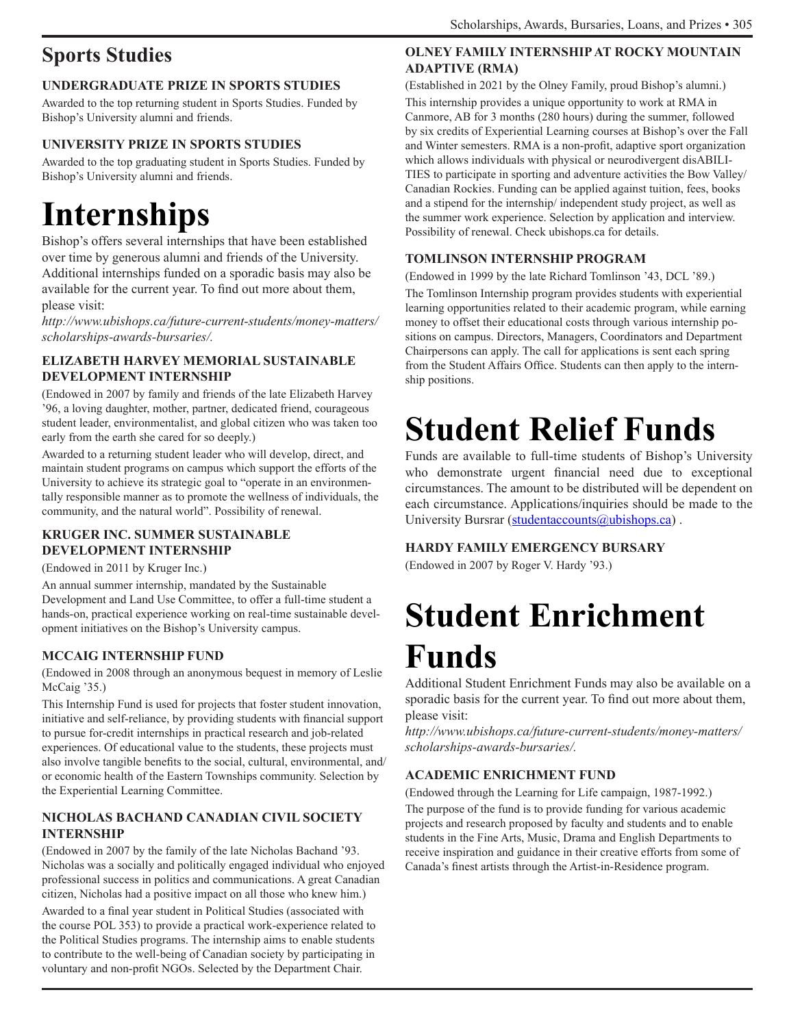# **Sports Studies**

### **UNDERGRADUATE PRIZE IN SPORTS STUDIES**

Awarded to the top returning student in Sports Studies. Funded by Bishop's University alumni and friends.

### **UNIVERSITY PRIZE IN SPORTS STUDIES**

Awarded to the top graduating student in Sports Studies. Funded by Bishop's University alumni and friends.

# **Internships**

Bishop's offers several internships that have been established over time by generous alumni and friends of the University. Additional internships funded on a sporadic basis may also be available for the current year. To find out more about them, please visit:

*http://www.ubishops.ca/future-current-students/money-matters/ scholarships-awards-bursaries/.*

### **ELIZABETH HARVEY MEMORIAL SUSTAINABLE DEVELOPMENT INTERNSHIP**

(Endowed in 2007 by family and friends of the late Elizabeth Harvey '96, a loving daughter, mother, partner, dedicated friend, courageous student leader, environmentalist, and global citizen who was taken too early from the earth she cared for so deeply.)

Awarded to a returning student leader who will develop, direct, and maintain student programs on campus which support the efforts of the University to achieve its strategic goal to "operate in an environmentally responsible manner as to promote the wellness of individuals, the community, and the natural world". Possibility of renewal.

### **KRUGER INC. SUMMER SUSTAINABLE DEVELOPMENT INTERNSHIP**

(Endowed in 2011 by Kruger Inc.)

An annual summer internship, mandated by the Sustainable Development and Land Use Committee, to offer a full-time student a hands-on, practical experience working on real-time sustainable development initiatives on the Bishop's University campus.

### **MCCAIG INTERNSHIP FUND**

(Endowed in 2008 through an anonymous bequest in memory of Leslie McCaig '35.)

This Internship Fund is used for projects that foster student innovation, initiative and self-reliance, by providing students with financial support to pursue for-credit internships in practical research and job-related experiences. Of educational value to the students, these projects must also involve tangible benefits to the social, cultural, environmental, and/ or economic health of the Eastern Townships community. Selection by the Experiential Learning Committee.

### **NICHOLAS BACHAND CANADIAN CIVIL SOCIETY INTERNSHIP**

(Endowed in 2007 by the family of the late Nicholas Bachand '93. Nicholas was a socially and politically engaged individual who enjoyed professional success in politics and communications. A great Canadian citizen, Nicholas had a positive impact on all those who knew him.)

Awarded to a final year student in Political Studies (associated with the course POL 353) to provide a practical work-experience related to the Political Studies programs. The internship aims to enable students to contribute to the well-being of Canadian society by participating in voluntary and non-profit NGOs. Selected by the Department Chair.

### **OLNEY FAMILY INTERNSHIP AT ROCKY MOUNTAIN ADAPTIVE (RMA)**

(Established in 2021 by the Olney Family, proud Bishop's alumni.) This internship provides a unique opportunity to work at RMA in Canmore, AB for 3 months (280 hours) during the summer, followed by six credits of Experiential Learning courses at Bishop's over the Fall and Winter semesters. RMA is a non-profit, adaptive sport organization which allows individuals with physical or neurodivergent disABILI-TIES to participate in sporting and adventure activities the Bow Valley/ Canadian Rockies. Funding can be applied against tuition, fees, books and a stipend for the internship/ independent study project, as well as the summer work experience. Selection by application and interview. Possibility of renewal. Check ubishops.ca for details.

### **TOMLINSON INTERNSHIP PROGRAM**

(Endowed in 1999 by the late Richard Tomlinson '43, DCL '89.) The Tomlinson Internship program provides students with experiential learning opportunities related to their academic program, while earning money to offset their educational costs through various internship positions on campus. Directors, Managers, Coordinators and Department Chairpersons can apply. The call for applications is sent each spring from the Student Affairs Office. Students can then apply to the internship positions.

# **Student Relief Funds**

Funds are available to full-time students of Bishop's University who demonstrate urgent financial need due to exceptional circumstances. The amount to be distributed will be dependent on each circumstance. Applications/inquiries should be made to the University Bursrar (studentaccounts@ubishops.ca).

### **HARDY FAMILY EMERGENCY BURSARY**

(Endowed in 2007 by Roger V. Hardy '93.)

# **Student Enrichment Funds**

Additional Student Enrichment Funds may also be available on a sporadic basis for the current year. To find out more about them, please visit:

*http://www.ubishops.ca/future-current-students/money-matters/ scholarships-awards-bursaries/.*

### **ACADEMIC ENRICHMENT FUND**

(Endowed through the Learning for Life campaign, 1987-1992.) The purpose of the fund is to provide funding for various academic projects and research proposed by faculty and students and to enable students in the Fine Arts, Music, Drama and English Departments to receive inspiration and guidance in their creative efforts from some of Canada's finest artists through the Artist-in-Residence program.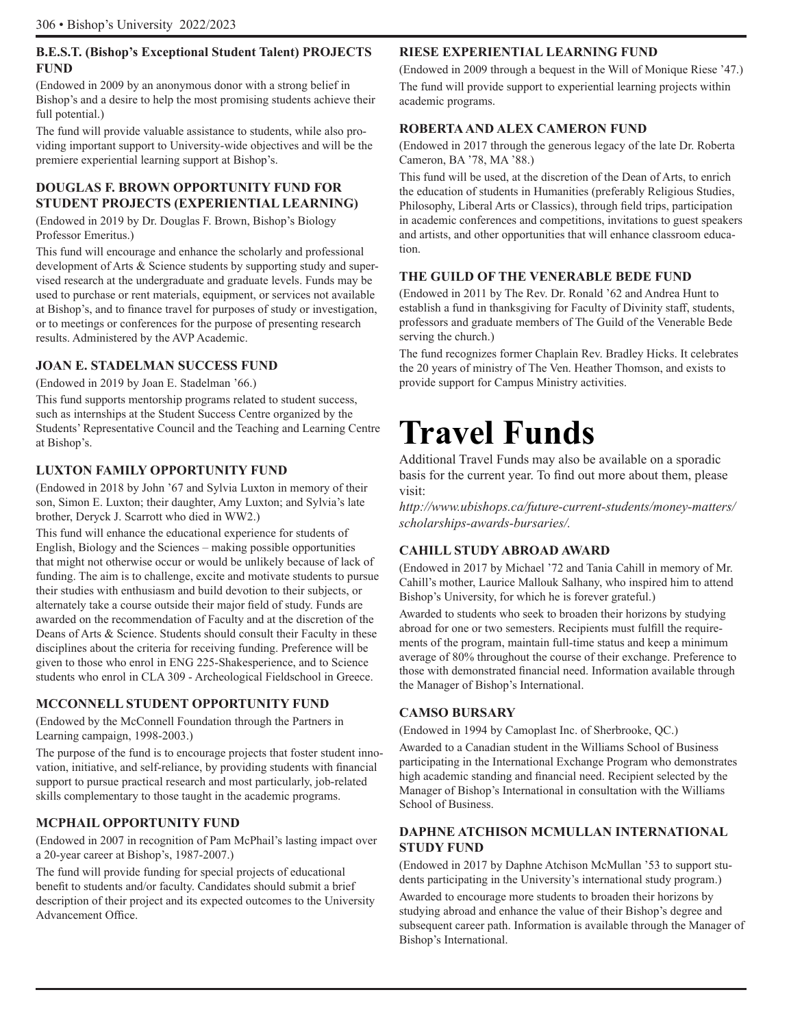### **B.E.S.T. (Bishop's Exceptional Student Talent) PROJECTS FUND**

(Endowed in 2009 by an anonymous donor with a strong belief in Bishop's and a desire to help the most promising students achieve their full potential.)

The fund will provide valuable assistance to students, while also providing important support to University-wide objectives and will be the premiere experiential learning support at Bishop's.

### **DOUGLAS F. BROWN OPPORTUNITY FUND FOR STUDENT PROJECTS (EXPERIENTIAL LEARNING)**

(Endowed in 2019 by Dr. Douglas F. Brown, Bishop's Biology Professor Emeritus.)

This fund will encourage and enhance the scholarly and professional development of Arts & Science students by supporting study and supervised research at the undergraduate and graduate levels. Funds may be used to purchase or rent materials, equipment, or services not available at Bishop's, and to finance travel for purposes of study or investigation, or to meetings or conferences for the purpose of presenting research results. Administered by the AVP Academic.

### **JOAN E. STADELMAN SUCCESS FUND**

(Endowed in 2019 by Joan E. Stadelman '66.)

This fund supports mentorship programs related to student success, such as internships at the Student Success Centre organized by the Students' Representative Council and the Teaching and Learning Centre at Bishop's.

### **LUXTON FAMILY OPPORTUNITY FUND**

(Endowed in 2018 by John '67 and Sylvia Luxton in memory of their son, Simon E. Luxton; their daughter, Amy Luxton; and Sylvia's late brother, Deryck J. Scarrott who died in WW2.)

This fund will enhance the educational experience for students of English, Biology and the Sciences – making possible opportunities that might not otherwise occur or would be unlikely because of lack of funding. The aim is to challenge, excite and motivate students to pursue their studies with enthusiasm and build devotion to their subjects, or alternately take a course outside their major field of study. Funds are awarded on the recommendation of Faculty and at the discretion of the Deans of Arts & Science. Students should consult their Faculty in these disciplines about the criteria for receiving funding. Preference will be given to those who enrol in ENG 225-Shakesperience, and to Science students who enrol in CLA 309 - Archeological Fieldschool in Greece.

### **MCCONNELL STUDENT OPPORTUNITY FUND**

(Endowed by the McConnell Foundation through the Partners in Learning campaign, 1998-2003.)

The purpose of the fund is to encourage projects that foster student innovation, initiative, and self-reliance, by providing students with financial support to pursue practical research and most particularly, job-related skills complementary to those taught in the academic programs.

### **MCPHAIL OPPORTUNITY FUND**

(Endowed in 2007 in recognition of Pam McPhail's lasting impact over a 20-year career at Bishop's, 1987-2007.)

The fund will provide funding for special projects of educational benefit to students and/or faculty. Candidates should submit a brief description of their project and its expected outcomes to the University Advancement Office.

### **RIESE EXPERIENTIAL LEARNING FUND**

(Endowed in 2009 through a bequest in the Will of Monique Riese '47.) The fund will provide support to experiential learning projects within academic programs.

### **ROBERTA AND ALEX CAMERON FUND**

(Endowed in 2017 through the generous legacy of the late Dr. Roberta Cameron, BA '78, MA '88.)

This fund will be used, at the discretion of the Dean of Arts, to enrich the education of students in Humanities (preferably Religious Studies, Philosophy, Liberal Arts or Classics), through field trips, participation in academic conferences and competitions, invitations to guest speakers and artists, and other opportunities that will enhance classroom education.

### **THE GUILD OF THE VENERABLE BEDE FUND**

(Endowed in 2011 by The Rev. Dr. Ronald '62 and Andrea Hunt to establish a fund in thanksgiving for Faculty of Divinity staff, students, professors and graduate members of The Guild of the Venerable Bede serving the church.)

The fund recognizes former Chaplain Rev. Bradley Hicks. It celebrates the 20 years of ministry of The Ven. Heather Thomson, and exists to provide support for Campus Ministry activities.

# **Travel Funds**

Additional Travel Funds may also be available on a sporadic basis for the current year. To find out more about them, please visit:

*http://www.ubishops.ca/future-current-students/money-matters/ scholarships-awards-bursaries/.*

### **CAHILL STUDY ABROAD AWARD**

(Endowed in 2017 by Michael '72 and Tania Cahill in memory of Mr. Cahill's mother, Laurice Mallouk Salhany, who inspired him to attend Bishop's University, for which he is forever grateful.)

Awarded to students who seek to broaden their horizons by studying abroad for one or two semesters. Recipients must fulfill the requirements of the program, maintain full-time status and keep a minimum average of 80% throughout the course of their exchange. Preference to those with demonstrated financial need. Information available through the Manager of Bishop's International.

### **CAMSO BURSARY**

(Endowed in 1994 by Camoplast Inc. of Sherbrooke, QC.)

Awarded to a Canadian student in the Williams School of Business participating in the International Exchange Program who demonstrates high academic standing and financial need. Recipient selected by the Manager of Bishop's International in consultation with the Williams School of Business.

### **DAPHNE ATCHISON MCMULLAN INTERNATIONAL STUDY FUND**

(Endowed in 2017 by Daphne Atchison McMullan '53 to support students participating in the University's international study program.) Awarded to encourage more students to broaden their horizons by studying abroad and enhance the value of their Bishop's degree and subsequent career path. Information is available through the Manager of Bishop's International.